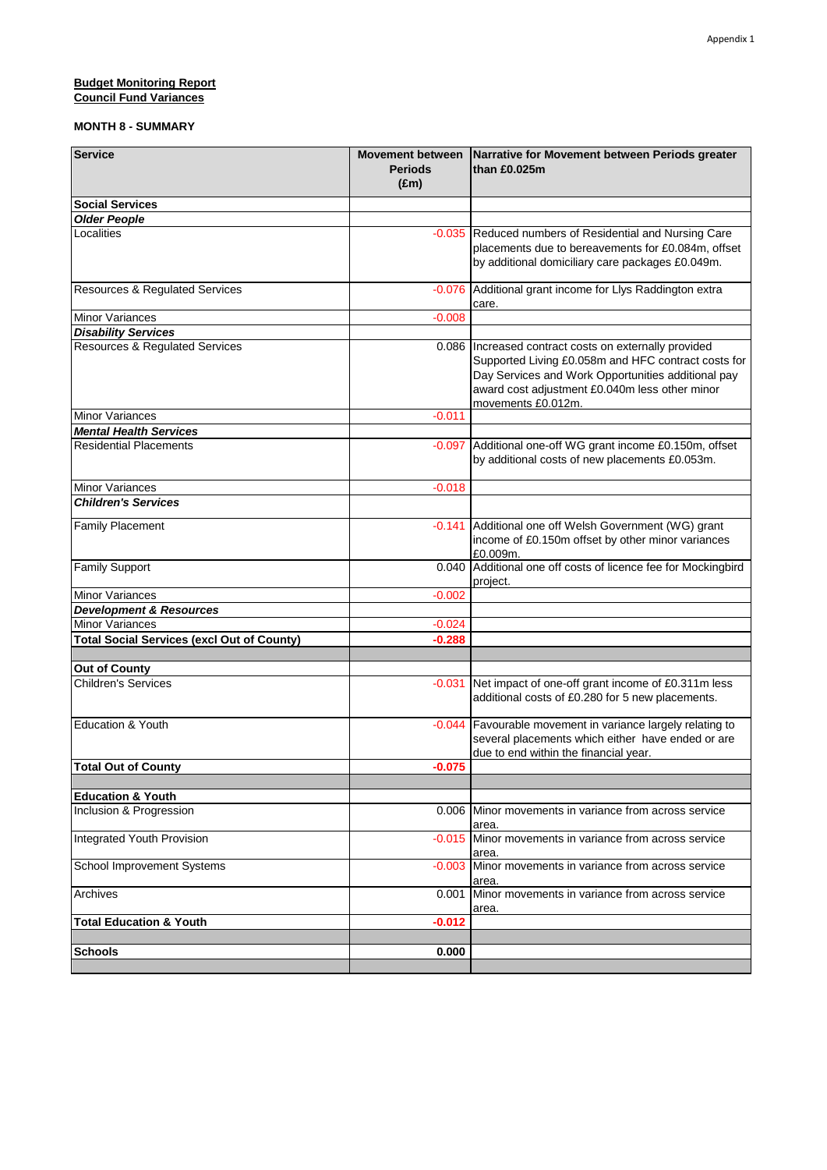#### **Budget Monitoring Report** 8.0000 **Budget Monitoring Report Council Fund Variances**

| <b>Service</b>                                    | <b>Periods</b><br>$(\text{Em})$ | Movement between Narrative for Movement between Periods greater<br>than £0.025m                                                                                                                                                              |
|---------------------------------------------------|---------------------------------|----------------------------------------------------------------------------------------------------------------------------------------------------------------------------------------------------------------------------------------------|
| <b>Social Services</b>                            |                                 |                                                                                                                                                                                                                                              |
| <b>Older People</b>                               |                                 |                                                                                                                                                                                                                                              |
| Localities                                        | $-0.035$                        | Reduced numbers of Residential and Nursing Care<br>placements due to bereavements for £0.084m, offset<br>by additional domiciliary care packages £0.049m.                                                                                    |
| <b>Resources &amp; Regulated Services</b>         | $-0.076$                        | Additional grant income for Llys Raddington extra<br>care.                                                                                                                                                                                   |
| <b>Minor Variances</b>                            | $-0.008$                        |                                                                                                                                                                                                                                              |
| <b>Disability Services</b>                        |                                 |                                                                                                                                                                                                                                              |
| <b>Resources &amp; Regulated Services</b>         |                                 | 0.086   Increased contract costs on externally provided<br>Supported Living £0.058m and HFC contract costs for<br>Day Services and Work Opportunities additional pay<br>award cost adjustment £0.040m less other minor<br>movements £0.012m. |
| <b>Minor Variances</b>                            | $-0.011$                        |                                                                                                                                                                                                                                              |
| <b>Mental Health Services</b>                     |                                 |                                                                                                                                                                                                                                              |
| Residential Placements                            | $-0.097$                        | Additional one-off WG grant income £0.150m, offset<br>by additional costs of new placements £0.053m.                                                                                                                                         |
| Minor Variances                                   | $-0.018$                        |                                                                                                                                                                                                                                              |
| <b>Children's Services</b>                        |                                 |                                                                                                                                                                                                                                              |
| <b>Family Placement</b>                           | $-0.141$                        | Additional one off Welsh Government (WG) grant<br>income of £0.150m offset by other minor variances<br>£0.009m.                                                                                                                              |
| <b>Family Support</b>                             | 0.040                           | Additional one off costs of licence fee for Mockingbird<br>project.                                                                                                                                                                          |
| <b>Minor Variances</b>                            | $-0.002$                        |                                                                                                                                                                                                                                              |
| <b>Development &amp; Resources</b>                |                                 |                                                                                                                                                                                                                                              |
| Minor Variances                                   | $-0.024$                        |                                                                                                                                                                                                                                              |
| <b>Total Social Services (excl Out of County)</b> | $-0.288$                        |                                                                                                                                                                                                                                              |
|                                                   |                                 |                                                                                                                                                                                                                                              |
| <b>Out of County</b>                              |                                 |                                                                                                                                                                                                                                              |
| <b>Children's Services</b>                        | $-0.031$                        | Net impact of one-off grant income of £0.311m less<br>additional costs of £0.280 for 5 new placements.                                                                                                                                       |
| Education & Youth                                 | $-0.044$                        | Favourable movement in variance largely relating to<br>several placements which either have ended or are<br>due to end within the financial year.                                                                                            |
| <b>Total Out of County</b>                        | $-0.075$                        |                                                                                                                                                                                                                                              |
|                                                   |                                 |                                                                                                                                                                                                                                              |
| <b>Education &amp; Youth</b>                      |                                 |                                                                                                                                                                                                                                              |
| Inclusion & Progression                           | 0.006                           | Minor movements in variance from across service<br>area.                                                                                                                                                                                     |
| Integrated Youth Provision                        | $-0.015$                        | Minor movements in variance from across service<br>area.                                                                                                                                                                                     |
| School Improvement Systems                        | $-0.003$                        | Minor movements in variance from across service<br>area.                                                                                                                                                                                     |
| Archives                                          | 0.001                           | Minor movements in variance from across service<br>area.                                                                                                                                                                                     |
| <b>Total Education &amp; Youth</b>                | $-0.012$                        |                                                                                                                                                                                                                                              |
|                                                   |                                 |                                                                                                                                                                                                                                              |
| <b>Schools</b>                                    | 0.000                           |                                                                                                                                                                                                                                              |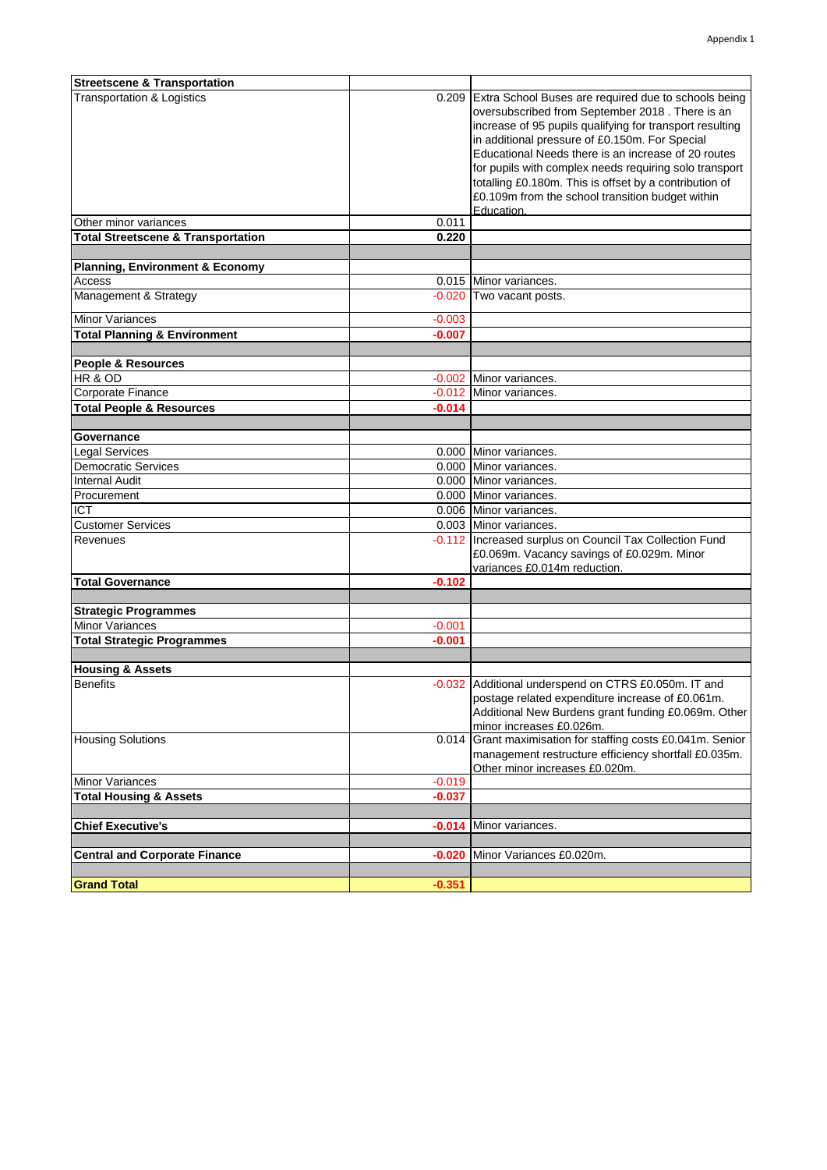| <b>Streetscene &amp; Transportation</b>             |          |                                                             |
|-----------------------------------------------------|----------|-------------------------------------------------------------|
| <b>Transportation &amp; Logistics</b>               |          | 0.209 Extra School Buses are required due to schools being  |
|                                                     |          | oversubscribed from September 2018. There is an             |
|                                                     |          | increase of 95 pupils qualifying for transport resulting    |
|                                                     |          | in additional pressure of £0.150m. For Special              |
|                                                     |          | Educational Needs there is an increase of 20 routes         |
|                                                     |          | for pupils with complex needs requiring solo transport      |
|                                                     |          | totalling £0.180m. This is offset by a contribution of      |
|                                                     |          | £0.109m from the school transition budget within            |
|                                                     |          | Education.                                                  |
| Other minor variances                               | 0.011    |                                                             |
| <b>Total Streetscene &amp; Transportation</b>       | 0.220    |                                                             |
|                                                     |          |                                                             |
| <b>Planning, Environment &amp; Economy</b>          |          |                                                             |
| Access                                              |          | 0.015 Minor variances.                                      |
| Management & Strategy                               |          | -0.020 Two vacant posts.                                    |
|                                                     |          |                                                             |
| <b>Minor Variances</b>                              | $-0.003$ |                                                             |
| <b>Total Planning &amp; Environment</b>             | $-0.007$ |                                                             |
|                                                     |          |                                                             |
| <b>People &amp; Resources</b><br>HR & OD            |          |                                                             |
|                                                     |          | -0.002 Minor variances.<br>-0.012 Minor variances.          |
| Corporate Finance                                   |          |                                                             |
| <b>Total People &amp; Resources</b>                 | $-0.014$ |                                                             |
| Governance                                          |          |                                                             |
| <b>Legal Services</b>                               |          | 0.000 Minor variances.                                      |
|                                                     |          | 0.000 Minor variances.                                      |
| <b>Democratic Services</b><br><b>Internal Audit</b> |          |                                                             |
|                                                     |          | 0.000 Minor variances.                                      |
| Procurement<br><b>ICT</b>                           |          | 0.000 Minor variances.                                      |
|                                                     |          | 0.006 Minor variances.                                      |
| <b>Customer Services</b>                            |          | 0.003 Minor variances.                                      |
| Revenues                                            |          | -0.112 Increased surplus on Council Tax Collection Fund     |
|                                                     |          | £0.069m. Vacancy savings of £0.029m. Minor                  |
| <b>Total Governance</b>                             | $-0.102$ | variances £0.014m reduction.                                |
|                                                     |          |                                                             |
| <b>Strategic Programmes</b>                         |          |                                                             |
| <b>Minor Variances</b>                              | $-0.001$ |                                                             |
| <b>Total Strategic Programmes</b>                   | $-0.001$ |                                                             |
|                                                     |          |                                                             |
| <b>Housing &amp; Assets</b>                         |          |                                                             |
| <b>Benefits</b>                                     |          | -0.032 Additional underspend on CTRS £0.050m. IT and        |
|                                                     |          | postage related expenditure increase of £0.061m.            |
|                                                     |          | Additional New Burdens grant funding £0.069m. Other         |
|                                                     |          | minor increases £0.026m.                                    |
| <b>Housing Solutions</b>                            |          | 0.014 Grant maximisation for staffing costs £0.041m. Senior |
|                                                     |          | management restructure efficiency shortfall £0.035m.        |
|                                                     |          | Other minor increases £0.020m.                              |
| <b>Minor Variances</b>                              | $-0.019$ |                                                             |
| <b>Total Housing &amp; Assets</b>                   | $-0.037$ |                                                             |
|                                                     |          |                                                             |
| <b>Chief Executive's</b>                            |          | -0.014 Minor variances.                                     |
|                                                     |          |                                                             |
| <b>Central and Corporate Finance</b>                | $-0.020$ | Minor Variances £0.020m.                                    |
|                                                     |          |                                                             |
| <b>Grand Total</b>                                  | $-0.351$ |                                                             |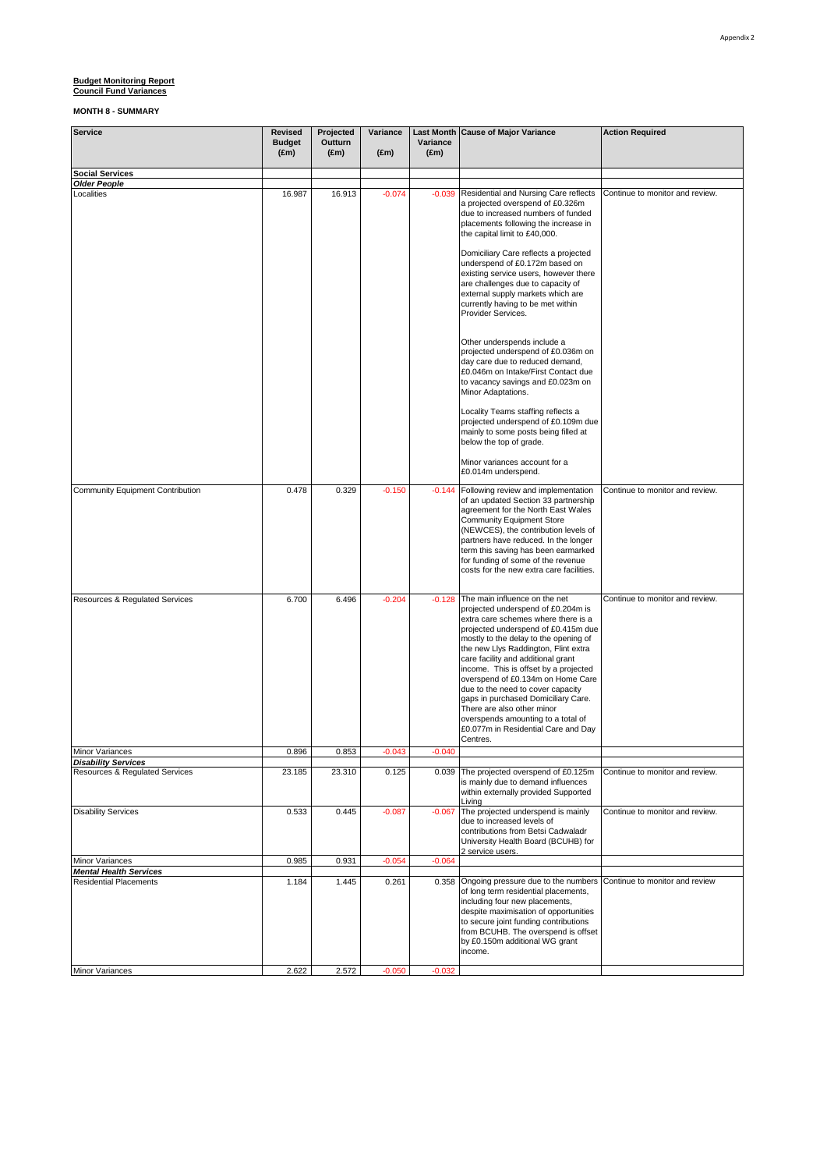| <b>Service</b>                                               | <b>Revised</b><br><b>Budget</b><br>$(\text{Em})$ | Projected<br>Outturn<br>$(\text{Em})$ | Variance<br>$(\text{Em})$ | <b>Last Month</b><br>Variance<br>$(\text{Em})$ | <b>Cause of Major Variance</b><br><b>Action Required</b>                                                                                                                                                                                                                                                                                                                                                                                                                                                                                                  |                                 |  |
|--------------------------------------------------------------|--------------------------------------------------|---------------------------------------|---------------------------|------------------------------------------------|-----------------------------------------------------------------------------------------------------------------------------------------------------------------------------------------------------------------------------------------------------------------------------------------------------------------------------------------------------------------------------------------------------------------------------------------------------------------------------------------------------------------------------------------------------------|---------------------------------|--|
| <b>Social Services</b>                                       |                                                  |                                       |                           |                                                |                                                                                                                                                                                                                                                                                                                                                                                                                                                                                                                                                           |                                 |  |
| <b>Older People</b><br>Localities                            | 16.987                                           | 16.913                                | $-0.074$                  | $-0.039$                                       | Residential and Nursing Care reflects<br>a projected overspend of £0.326m<br>due to increased numbers of funded<br>placements following the increase in<br>the capital limit to £40,000.<br>Domiciliary Care reflects a projected                                                                                                                                                                                                                                                                                                                         | Continue to monitor and review. |  |
|                                                              |                                                  |                                       |                           |                                                | underspend of £0.172m based on<br>existing service users, however there<br>are challenges due to capacity of<br>external supply markets which are<br>currently having to be met within<br>Provider Services.                                                                                                                                                                                                                                                                                                                                              |                                 |  |
|                                                              |                                                  |                                       |                           |                                                | Other underspends include a<br>projected underspend of £0.036m on<br>day care due to reduced demand,<br>£0.046m on Intake/First Contact due<br>to vacancy savings and £0.023m on<br>Minor Adaptations.                                                                                                                                                                                                                                                                                                                                                    |                                 |  |
|                                                              |                                                  |                                       |                           |                                                | Locality Teams staffing reflects a<br>projected underspend of £0.109m due<br>mainly to some posts being filled at<br>below the top of grade.                                                                                                                                                                                                                                                                                                                                                                                                              |                                 |  |
|                                                              |                                                  |                                       |                           |                                                | Minor variances account for a<br>£0.014m underspend.                                                                                                                                                                                                                                                                                                                                                                                                                                                                                                      |                                 |  |
| Community Equipment Contribution                             | 0.478                                            | 0.329                                 | $-0.150$                  | $-0.144$                                       | Following review and implementation<br>of an updated Section 33 partnership<br>agreement for the North East Wales<br><b>Community Equipment Store</b><br>(NEWCES), the contribution levels of<br>partners have reduced. In the longer<br>term this saving has been earmarked<br>for funding of some of the revenue<br>costs for the new extra care facilities.                                                                                                                                                                                            | Continue to monitor and review. |  |
| Resources & Regulated Services                               | 6.700                                            | 6.496                                 | $-0.204$                  | $-0.128$                                       | The main influence on the net<br>projected underspend of £0.204m is<br>extra care schemes where there is a<br>projected underspend of £0.415m due<br>mostly to the delay to the opening of<br>the new Llys Raddington, Flint extra<br>care facility and additional grant<br>income. This is offset by a projected<br>overspend of £0.134m on Home Care<br>due to the need to cover capacity<br>gaps in purchased Domiciliary Care.<br>There are also other minor<br>overspends amounting to a total of<br>£0.077m in Residential Care and Day<br>Centres. | Continue to monitor and review. |  |
| Minor Variances                                              | 0.896                                            | 0.853                                 | $-0.043$                  | $-0.040$                                       |                                                                                                                                                                                                                                                                                                                                                                                                                                                                                                                                                           |                                 |  |
| <b>Disability Services</b><br>Resources & Regulated Services | 23.185                                           | 23.310                                | 0.125                     |                                                | 0.039 The projected overspend of £0.125m<br>is mainly due to demand influences<br>within externally provided Supported<br>Livina                                                                                                                                                                                                                                                                                                                                                                                                                          | Continue to monitor and review. |  |
| <b>Disability Services</b>                                   | 0.533                                            | 0.445                                 | $-0.087$                  | $-0.067$                                       | The projected underspend is mainly<br>due to increased levels of<br>contributions from Betsi Cadwaladr<br>University Health Board (BCUHB) for<br>2 service users.                                                                                                                                                                                                                                                                                                                                                                                         | Continue to monitor and review. |  |
| <b>Minor Variances</b><br><b>Mental Health Services</b>      | 0.985                                            | 0.931                                 | $-0.054$                  | $-0.064$                                       |                                                                                                                                                                                                                                                                                                                                                                                                                                                                                                                                                           |                                 |  |
| <b>Residential Placements</b>                                | 1.184                                            | 1.445                                 | 0.261                     | 0.358                                          | Ongoing pressure due to the numbers<br>of long term residential placements,<br>including four new placements,<br>despite maximisation of opportunities<br>to secure joint funding contributions<br>from BCUHB. The overspend is offset<br>by £0.150m additional WG grant<br>income.                                                                                                                                                                                                                                                                       | Continue to monitor and review  |  |
| Minor Variances                                              | 2.622                                            | 2.572                                 | $-0.050$                  | $-0.032$                                       |                                                                                                                                                                                                                                                                                                                                                                                                                                                                                                                                                           |                                 |  |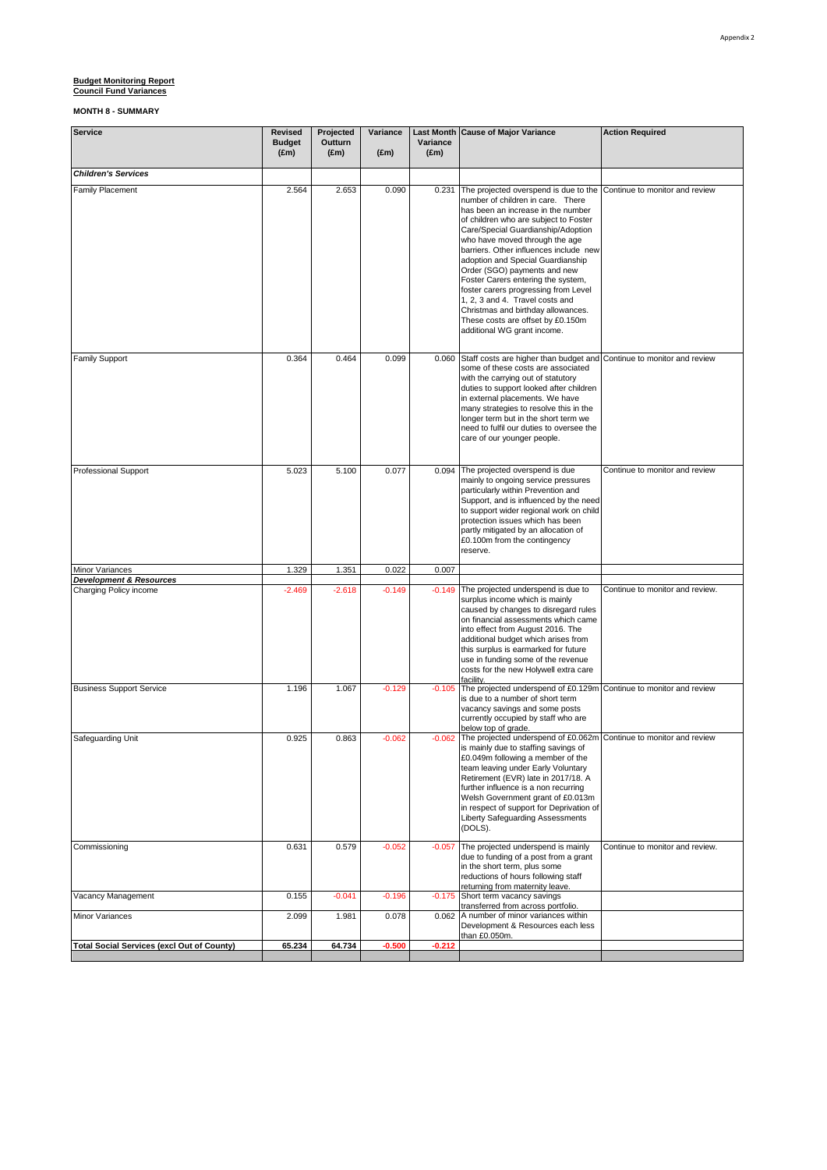| <b>Service</b>                                        | Revised<br><b>Budget</b><br>$(\text{Em})$ | Projected<br>Outturn<br>$(\text{Em})$ | Variance<br>$(\text{Em})$ | Variance<br>$(\text{Em})$ | Last Month Cause of Major Variance                                                                                                                                                                                                                                                                                                                                                                                                                                                                                                                                          | <b>Action Required</b>          |
|-------------------------------------------------------|-------------------------------------------|---------------------------------------|---------------------------|---------------------------|-----------------------------------------------------------------------------------------------------------------------------------------------------------------------------------------------------------------------------------------------------------------------------------------------------------------------------------------------------------------------------------------------------------------------------------------------------------------------------------------------------------------------------------------------------------------------------|---------------------------------|
| <b>Children's Services</b>                            |                                           |                                       |                           |                           |                                                                                                                                                                                                                                                                                                                                                                                                                                                                                                                                                                             |                                 |
| Family Placement                                      | 2.564                                     | 2.653                                 | 0.090                     | 0.231                     | The projected overspend is due to the<br>number of children in care. There<br>has been an increase in the number<br>of children who are subject to Foster<br>Care/Special Guardianship/Adoption<br>who have moved through the age<br>barriers. Other influences include new<br>adoption and Special Guardianship<br>Order (SGO) payments and new<br>Foster Carers entering the system,<br>foster carers progressing from Level<br>1, 2, 3 and 4. Travel costs and<br>Christmas and birthday allowances.<br>These costs are offset by £0.150m<br>additional WG grant income. | Continue to monitor and review  |
| <b>Family Support</b>                                 | 0.364                                     | 0.464                                 | 0.099                     | 0.060                     | Staff costs are higher than budget and<br>some of these costs are associated<br>with the carrying out of statutory<br>duties to support looked after children<br>in external placements. We have<br>many strategies to resolve this in the<br>longer term but in the short term we<br>need to fulfil our duties to oversee the<br>care of our younger people.                                                                                                                                                                                                               | Continue to monitor and review  |
| <b>Professional Support</b>                           | 5.023                                     | 5.100                                 | 0.077                     | 0.094                     | The projected overspend is due<br>mainly to ongoing service pressures<br>particularly within Prevention and<br>Support, and is influenced by the need<br>to support wider regional work on child<br>protection issues which has been<br>partly mitigated by an allocation of<br>£0.100m from the contingency<br>reserve.                                                                                                                                                                                                                                                    | Continue to monitor and review  |
| Minor Variances<br><b>Development &amp; Resources</b> | 1.329                                     | 1.351                                 | 0.022                     | 0.007                     |                                                                                                                                                                                                                                                                                                                                                                                                                                                                                                                                                                             |                                 |
| Charging Policy income                                | $-2.469$                                  | $-2.618$                              | $-0.149$                  | $-0.149$                  | The projected underspend is due to<br>surplus income which is mainly<br>caused by changes to disregard rules<br>on financial assessments which came<br>into effect from August 2016. The<br>additional budget which arises from<br>this surplus is earmarked for future<br>use in funding some of the revenue<br>costs for the new Holywell extra care<br>facility.                                                                                                                                                                                                         | Continue to monitor and review. |
| <b>Business Support Service</b>                       | 1.196                                     | 1.067                                 | $-0.129$                  | $-0.105$                  | The projected underspend of £0.129m Continue to monitor and review<br>is due to a number of short term<br>vacancy savings and some posts<br>currently occupied by staff who are<br>below top of grade.                                                                                                                                                                                                                                                                                                                                                                      |                                 |
| Safeguarding Unit                                     | 0.925                                     | 0.863                                 | $-0.062$                  |                           | -0.062 The projected underspend of £0.062m Continue to monitor and review<br>is mainly due to staffing savings of<br>£0.049m following a member of the<br>team leaving under Early Voluntary<br>Retirement (EVR) late in 2017/18. A<br>further influence is a non recurring<br>Welsh Government grant of £0.013m<br>in respect of support for Deprivation of<br>Liberty Safequarding Assessments<br>(DOLS).                                                                                                                                                                 |                                 |
| Commissioning                                         | 0.631                                     | 0.579                                 | $-0.052$                  | $-0.057$                  | The projected underspend is mainly<br>due to funding of a post from a grant<br>in the short term, plus some<br>reductions of hours following staff<br>returning from maternity leave.                                                                                                                                                                                                                                                                                                                                                                                       | Continue to monitor and review. |
| Vacancy Management                                    | 0.155                                     | $-0.041$                              | $-0.196$                  |                           | -0.175 Short term vacancy savings<br>transferred from across portfolio.                                                                                                                                                                                                                                                                                                                                                                                                                                                                                                     |                                 |
| Minor Variances                                       | 2.099                                     | 1.981                                 | 0.078                     | 0.062                     | A number of minor variances within<br>Development & Resources each less<br>than £0.050m.                                                                                                                                                                                                                                                                                                                                                                                                                                                                                    |                                 |
| <b>Total Social Services (excl Out of County)</b>     | 65.234                                    | 64.734                                | $-0.500$                  | $-0.212$                  |                                                                                                                                                                                                                                                                                                                                                                                                                                                                                                                                                                             |                                 |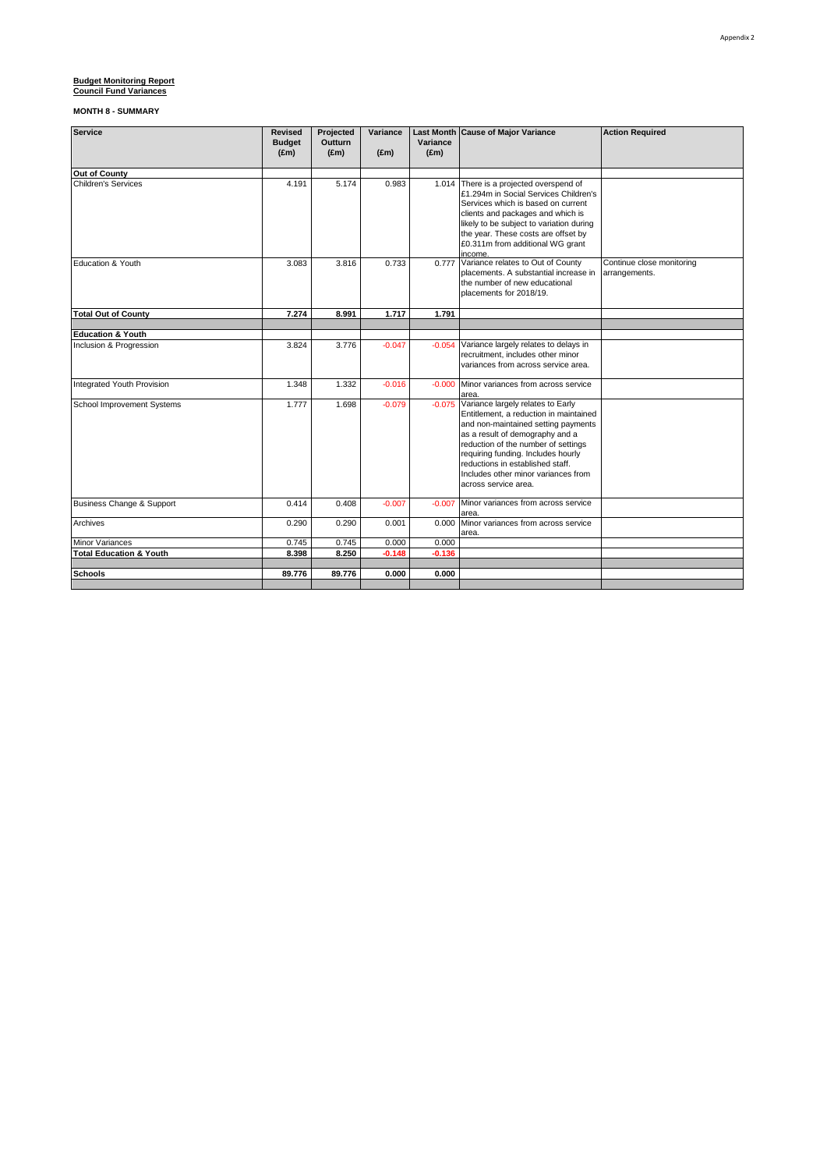| Service                            | <b>Revised</b><br><b>Budget</b> | Projected<br>Outturn | Variance      | Variance      | <b>Last Month Cause of Major Variance</b>                                                                                                                                                                                                                                                                                                    | <b>Action Required</b>                     |
|------------------------------------|---------------------------------|----------------------|---------------|---------------|----------------------------------------------------------------------------------------------------------------------------------------------------------------------------------------------------------------------------------------------------------------------------------------------------------------------------------------------|--------------------------------------------|
|                                    | $(\text{Em})$                   | $(\text{Em})$        | $(\text{Em})$ | $(\text{Em})$ |                                                                                                                                                                                                                                                                                                                                              |                                            |
| Out of County                      |                                 |                      |               |               |                                                                                                                                                                                                                                                                                                                                              |                                            |
| Children's Services                | 4.191                           | 5.174                | 0.983         |               | 1.014 There is a projected overspend of<br>£1.294m in Social Services Children's<br>Services which is based on current<br>clients and packages and which is<br>likely to be subject to variation during<br>the year. These costs are offset by<br>£0.311m from additional WG grant<br>income.                                                |                                            |
| Education & Youth                  | 3.083                           | 3.816                | 0.733         |               | 0.777 Variance relates to Out of County<br>placements. A substantial increase in<br>the number of new educational<br>placements for 2018/19.                                                                                                                                                                                                 | Continue close monitoring<br>arrangements. |
| <b>Total Out of County</b>         | 7.274                           | 8.991                | 1.717         | 1.791         |                                                                                                                                                                                                                                                                                                                                              |                                            |
|                                    |                                 |                      |               |               |                                                                                                                                                                                                                                                                                                                                              |                                            |
| <b>Education &amp; Youth</b>       | 3.824                           | 3.776                | $-0.047$      | $-0.054$      | Variance largely relates to delays in                                                                                                                                                                                                                                                                                                        |                                            |
| Inclusion & Progression            |                                 |                      |               |               | recruitment, includes other minor<br>variances from across service area.                                                                                                                                                                                                                                                                     |                                            |
| Integrated Youth Provision         | 1.348                           | 1.332                | $-0.016$      |               | -0.000 Minor variances from across service<br>area.                                                                                                                                                                                                                                                                                          |                                            |
| <b>School Improvement Systems</b>  | 1.777                           | 1.698                | $-0.079$      |               | -0.075 Variance largely relates to Early<br>Entitlement, a reduction in maintained<br>and non-maintained setting payments<br>as a result of demography and a<br>reduction of the number of settings<br>requiring funding. Includes hourly<br>reductions in established staff.<br>Includes other minor variances from<br>across service area. |                                            |
| Business Change & Support          | 0.414                           | 0.408                | $-0.007$      | $-0.007$      | Minor variances from across service<br>area.                                                                                                                                                                                                                                                                                                 |                                            |
| Archives                           | 0.290                           | 0.290                | 0.001         | 0.000         | Minor variances from across service<br>area.                                                                                                                                                                                                                                                                                                 |                                            |
| Minor Variances                    | 0.745                           | 0.745                | 0.000         | 0.000         |                                                                                                                                                                                                                                                                                                                                              |                                            |
| <b>Total Education &amp; Youth</b> | 8.398                           | 8.250                | $-0.148$      | $-0.136$      |                                                                                                                                                                                                                                                                                                                                              |                                            |
| <b>Schools</b>                     | 89.776                          | 89.776               | 0.000         | 0.000         |                                                                                                                                                                                                                                                                                                                                              |                                            |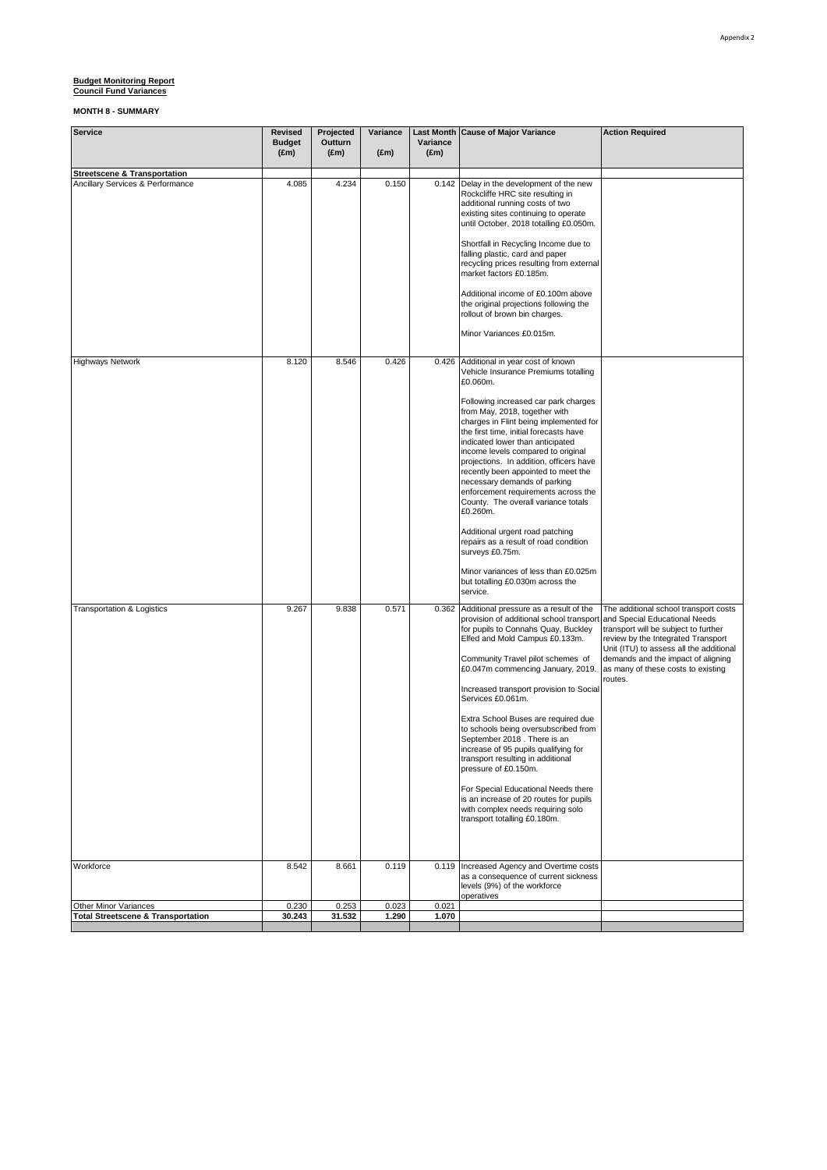| <b>Service</b>                                                              | Revised<br><b>Budget</b><br>$(\text{Em})$ | Projected<br>Outturn<br>$(\text{Em})$ | Variance<br>$(\text{Em})$ | Variance<br>$(\text{Em})$ | Last Month Cause of Major Variance                                                                                                                                                                                                                                                                                                                                                                                                                                                                                                                                                                                                                                                                                                   | <b>Action Required</b>                                                                                                                                                                                                                                                                 |
|-----------------------------------------------------------------------------|-------------------------------------------|---------------------------------------|---------------------------|---------------------------|--------------------------------------------------------------------------------------------------------------------------------------------------------------------------------------------------------------------------------------------------------------------------------------------------------------------------------------------------------------------------------------------------------------------------------------------------------------------------------------------------------------------------------------------------------------------------------------------------------------------------------------------------------------------------------------------------------------------------------------|----------------------------------------------------------------------------------------------------------------------------------------------------------------------------------------------------------------------------------------------------------------------------------------|
| <b>Streetscene &amp; Transportation</b><br>Ancillary Services & Performance | 4.085                                     | 4.234                                 | 0.150                     |                           | 0.142 Delay in the development of the new<br>Rockcliffe HRC site resulting in<br>additional running costs of two<br>existing sites continuing to operate<br>until October, 2018 totalling £0.050m.<br>Shortfall in Recycling Income due to<br>falling plastic, card and paper<br>recycling prices resulting from external<br>market factors £0.185m.<br>Additional income of £0.100m above<br>the original projections following the<br>rollout of brown bin charges.<br>Minor Variances £0.015m.                                                                                                                                                                                                                                    |                                                                                                                                                                                                                                                                                        |
| <b>Highways Network</b>                                                     | 8.120                                     | 8.546                                 | 0.426                     |                           | 0.426 Additional in year cost of known<br>Vehicle Insurance Premiums totalling<br>£0.060m.<br>Following increased car park charges<br>from May, 2018, together with<br>charges in Flint being implemented for<br>the first time, initial forecasts have<br>indicated lower than anticipated<br>income levels compared to original<br>projections. In addition, officers have<br>recently been appointed to meet the<br>necessary demands of parking<br>enforcement requirements across the<br>County. The overall variance totals<br>£0.260m.<br>Additional urgent road patching<br>repairs as a result of road condition<br>surveys £0.75m.<br>Minor variances of less than £0.025m<br>but totalling £0.030m across the<br>service. |                                                                                                                                                                                                                                                                                        |
| <b>Transportation &amp; Logistics</b>                                       | 9.267                                     | 9.838                                 | 0.571                     | 0.362                     | Additional pressure as a result of the<br>provision of additional school transpor<br>for pupils to Connahs Quay, Buckley<br>Elfed and Mold Campus £0.133m.<br>Community Travel pilot schemes of<br>£0.047m commencing January, 2019.<br>Increased transport provision to Social<br>Services £0.061m.<br>Extra School Buses are required due<br>to schools being oversubscribed from<br>September 2018 . There is an<br>increase of 95 pupils qualifying for<br>transport resulting in additional<br>pressure of £0.150m.<br>For Special Educational Needs there<br>is an increase of 20 routes for pupils<br>with complex needs requiring solo<br>transport totalling £0.180m.                                                       | The additional school transport costs<br>and Special Educational Needs<br>transport will be subject to further<br>review by the Integrated Transport<br>Unit (ITU) to assess all the additional<br>demands and the impact of aligning<br>as many of these costs to existing<br>routes. |
| Workforce                                                                   | 8.542                                     | 8.661                                 | 0.119                     |                           | 0.119 Increased Agency and Overtime costs<br>as a consequence of current sickness<br>levels (9%) of the workforce<br>operatives                                                                                                                                                                                                                                                                                                                                                                                                                                                                                                                                                                                                      |                                                                                                                                                                                                                                                                                        |
| Other Minor Variances<br><b>Total Streetscene &amp; Transportation</b>      | 0.230<br>30.243                           | 0.253<br>31.532                       | 0.023<br>1.290            | 0.021<br>1.070            |                                                                                                                                                                                                                                                                                                                                                                                                                                                                                                                                                                                                                                                                                                                                      |                                                                                                                                                                                                                                                                                        |
|                                                                             |                                           |                                       |                           |                           |                                                                                                                                                                                                                                                                                                                                                                                                                                                                                                                                                                                                                                                                                                                                      |                                                                                                                                                                                                                                                                                        |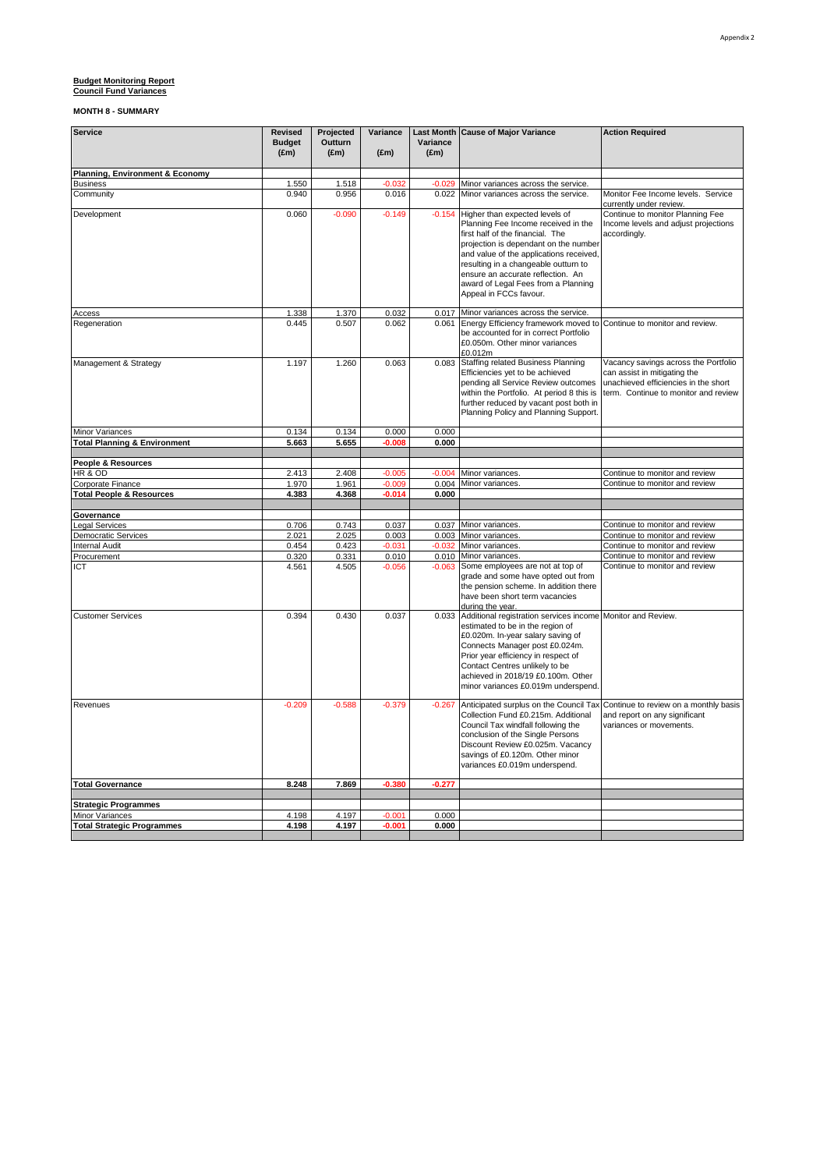### Appendix 2

# **Budget Monitoring Report** 8.000 **Council Fund Variances**

| Service                                             | <b>Revised</b><br><b>Budget</b> | Projected<br>Outturn | Variance          | Variance      | Last Month Cause of Major Variance                                                                                                                                                                                                                                                                                                          | <b>Action Required</b>                                                                                                                               |  |
|-----------------------------------------------------|---------------------------------|----------------------|-------------------|---------------|---------------------------------------------------------------------------------------------------------------------------------------------------------------------------------------------------------------------------------------------------------------------------------------------------------------------------------------------|------------------------------------------------------------------------------------------------------------------------------------------------------|--|
|                                                     | $(\text{Em})$                   | $(\text{Em})$        | $(\text{Em})$     | $(\text{Em})$ |                                                                                                                                                                                                                                                                                                                                             |                                                                                                                                                      |  |
| <b>Planning, Environment &amp; Economy</b>          |                                 |                      |                   |               |                                                                                                                                                                                                                                                                                                                                             |                                                                                                                                                      |  |
| <b>Business</b>                                     | 1.550                           | 1.518                | $-0.032$          | $-0.029$      | Minor variances across the service.                                                                                                                                                                                                                                                                                                         |                                                                                                                                                      |  |
| Community                                           | 0.940                           | 0.956                | 0.016             | 0.022         | Minor variances across the service.                                                                                                                                                                                                                                                                                                         | Monitor Fee Income levels. Service<br>currently under review.                                                                                        |  |
| Development                                         | 0.060                           | $-0.090$             | $-0.149$          | $-0.154$      | Higher than expected levels of<br>Planning Fee Income received in the<br>first half of the financial. The<br>projection is dependant on the number<br>and value of the applications received,<br>resulting in a changeable outturn to<br>ensure an accurate reflection. An<br>award of Legal Fees from a Planning<br>Appeal in FCCs favour. | Continue to monitor Planning Fee<br>Income levels and adjust projections<br>accordingly.                                                             |  |
| Access                                              | 1.338                           | 1.370                | 0.032             |               | 0.017 Minor variances across the service                                                                                                                                                                                                                                                                                                    |                                                                                                                                                      |  |
| Regeneration                                        | 0.445                           | 0.507                | 0.062             |               | 0.061 Energy Efficiency framework moved to Continue to monitor and review.<br>be accounted for in correct Portfolio<br>£0.050m. Other minor variances<br>£0.012m                                                                                                                                                                            |                                                                                                                                                      |  |
| Management & Strategy                               | 1.197                           | 1.260                | 0.063             | 0.083         | <b>Staffing related Business Planning</b><br>Efficiencies yet to be achieved<br>pending all Service Review outcomes<br>within the Portfolio. At period 8 this is<br>further reduced by vacant post both in<br>Planning Policy and Planning Support.                                                                                         | Vacancy savings across the Portfolio<br>can assist in mitigating the<br>unachieved efficiencies in the short<br>term. Continue to monitor and review |  |
| Minor Variances                                     | 0.134                           | 0.134                | 0.000             | 0.000         |                                                                                                                                                                                                                                                                                                                                             |                                                                                                                                                      |  |
| <b>Total Planning &amp; Environment</b>             | 5.663                           | 5.655                | $-0.008$          | 0.000         |                                                                                                                                                                                                                                                                                                                                             |                                                                                                                                                      |  |
| People & Resources                                  |                                 |                      |                   |               |                                                                                                                                                                                                                                                                                                                                             |                                                                                                                                                      |  |
| HR & OD                                             | 2.413                           | 2.408                | $-0.005$          | $-0.004$      | Minor variances                                                                                                                                                                                                                                                                                                                             | Continue to monitor and review                                                                                                                       |  |
| Corporate Finance                                   | 1.970                           | 1.961                | $-0.009$          | 0.004         | Minor variances                                                                                                                                                                                                                                                                                                                             | Continue to monitor and review                                                                                                                       |  |
| <b>Total People &amp; Resources</b>                 | 4.383                           | 4.368                | $-0.014$          | 0.000         |                                                                                                                                                                                                                                                                                                                                             |                                                                                                                                                      |  |
|                                                     |                                 |                      |                   |               |                                                                                                                                                                                                                                                                                                                                             |                                                                                                                                                      |  |
| Governance                                          |                                 |                      |                   |               |                                                                                                                                                                                                                                                                                                                                             |                                                                                                                                                      |  |
| <b>Legal Services</b>                               | 0.706<br>2.021                  | 0.743<br>2.025       | 0.037             |               | 0.037 Minor variances<br>0.003 Minor variances                                                                                                                                                                                                                                                                                              | Continue to monitor and review                                                                                                                       |  |
| <b>Democratic Services</b><br><b>Internal Audit</b> | 0.454                           | 0.423                | 0.003<br>$-0.031$ |               | -0.032 Minor variances                                                                                                                                                                                                                                                                                                                      | Continue to monitor and review<br>Continue to monitor and review                                                                                     |  |
| Procurement                                         | 0.320                           | 0.331                | 0.010             |               | 0.010 Minor variances                                                                                                                                                                                                                                                                                                                       | Continue to monitor and review                                                                                                                       |  |
| ICT                                                 | 4.561                           | 4.505                | $-0.056$          | $-0.063$      | Some employees are not at top of                                                                                                                                                                                                                                                                                                            | Continue to monitor and review                                                                                                                       |  |
|                                                     |                                 |                      |                   |               | grade and some have opted out from<br>the pension scheme. In addition there<br>have been short term vacancies<br>during the year.                                                                                                                                                                                                           |                                                                                                                                                      |  |
| <b>Customer Services</b>                            | 0.394                           | 0.430                | 0.037             | 0.033         | Additional registration services income Monitor and Review.<br>estimated to be in the region of<br>£0.020m. In-year salary saving of<br>Connects Manager post £0.024m.<br>Prior year efficiency in respect of<br>Contact Centres unlikely to be<br>achieved in 2018/19 £0.100m. Other<br>minor variances £0.019m underspend.                |                                                                                                                                                      |  |
| Revenues                                            | $-0.209$                        | $-0.588$             | $-0.379$          | $-0.267$      | Collection Fund £0.215m. Additional<br>Council Tax windfall following the<br>conclusion of the Single Persons<br>Discount Review £0.025m. Vacancy<br>savings of £0.120m. Other minor<br>variances £0.019m underspend.                                                                                                                       | Anticipated surplus on the Council Tax Continue to review on a monthly basis<br>and report on any significant<br>variances or movements.             |  |
| <b>Total Governance</b>                             | 8.248                           | 7.869                | $-0.380$          | $-0.277$      |                                                                                                                                                                                                                                                                                                                                             |                                                                                                                                                      |  |
|                                                     |                                 |                      |                   |               |                                                                                                                                                                                                                                                                                                                                             |                                                                                                                                                      |  |
| <b>Strategic Programmes</b><br>Minor Variances      | 4.198                           | 4.197                | -0.001            | 0.000         |                                                                                                                                                                                                                                                                                                                                             |                                                                                                                                                      |  |
| <b>Total Strategic Programmes</b>                   | 4.198                           | 4.197                | $-0.001$          | 0.000         |                                                                                                                                                                                                                                                                                                                                             |                                                                                                                                                      |  |
|                                                     |                                 |                      |                   |               |                                                                                                                                                                                                                                                                                                                                             |                                                                                                                                                      |  |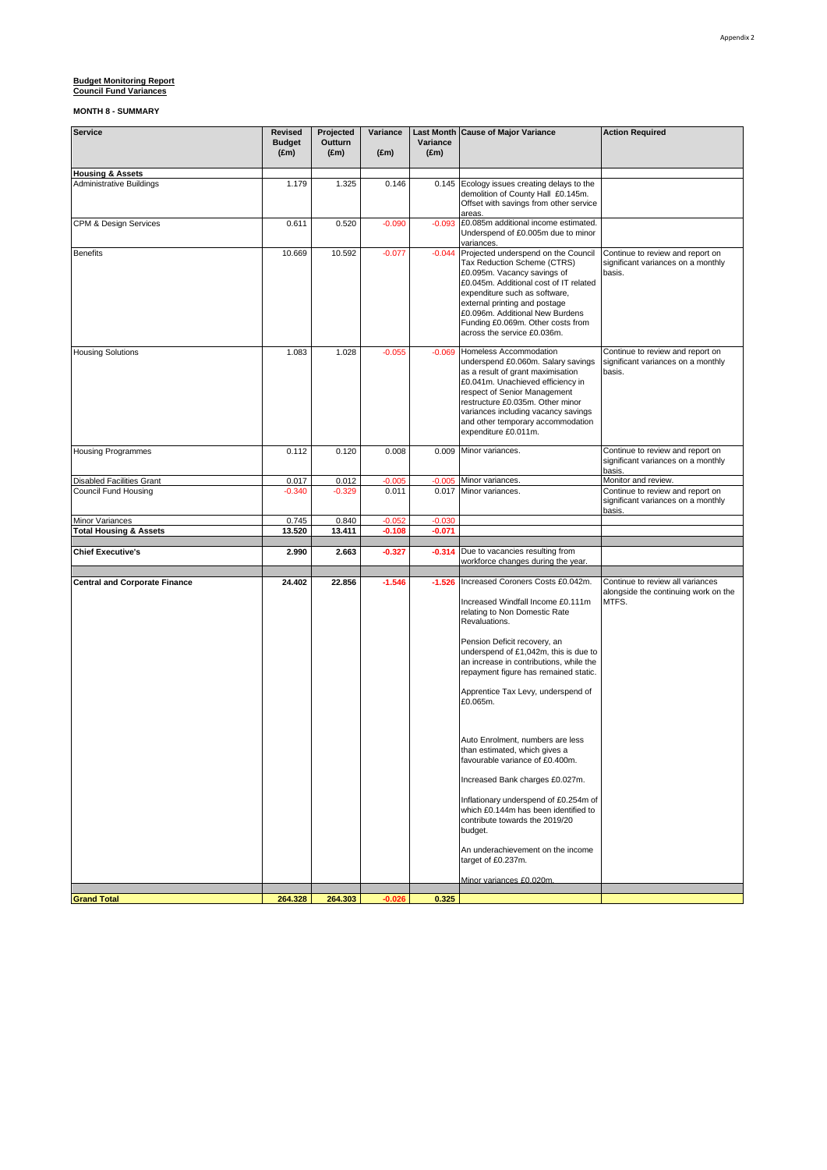| <b>Housing &amp; Assets</b><br>0.145 Ecology issues creating delays to the<br><b>Administrative Buildings</b><br>1.179<br>1.325<br>0.146<br>demolition of County Hall £0.145m.<br>Offset with savings from other service<br>areas.<br>£0.085m additional income estimated.<br>CPM & Design Services<br>0.611<br>0.520<br>$-0.090$<br>$-0.093$<br>Underspend of £0.005m due to minor<br>variances.<br>Projected underspend on the Council<br><b>Benefits</b><br>10.669<br>10.592<br>$-0.077$<br>$-0.044$<br>Continue to review and report on<br>Tax Reduction Scheme (CTRS)<br>significant variances on a monthly<br>£0.095m. Vacancy savings of<br>basis.<br>£0.045m. Additional cost of IT related<br>expenditure such as software,<br>external printing and postage<br>£0.096m. Additional New Burdens<br>Funding £0.069m. Other costs from<br>across the service £0.036m.<br><b>Housing Solutions</b><br>1.083<br>1.028<br>$-0.055$<br>$-0.069$<br>Homeless Accommodation<br>Continue to review and report on<br>underspend £0.060m. Salary savings<br>significant variances on a monthly<br>as a result of grant maximisation<br>basis.<br>£0.041m. Unachieved efficiency in<br>respect of Senior Management<br>restructure £0.035m. Other minor<br>variances including vacancy savings<br>and other temporary accommodation<br>expenditure £0.011m.<br><b>Housing Programmes</b><br>0.112<br>0.120<br>0.008<br>Minor variances.<br>0.009<br>Continue to review and report on<br>significant variances on a monthly<br>basis.<br><b>Disabled Facilities Grant</b><br>0.017<br>0.012<br>$-0.005$<br>Minor variances.<br>Monitor and review.<br>$-0.005$<br>Continue to review and report on<br>Council Fund Housing<br>$-0.340$<br>0.011<br>0.017 Minor variances.<br>$-0.329$<br>significant variances on a monthly<br>basis.<br>Minor Variances<br>0.745<br>0.840<br>$-0.052$<br>$-0.030$<br><b>Total Housing &amp; Assets</b><br>13.520<br>13.411<br>$-0.108$<br>$-0.071$<br>Due to vacancies resulting from<br><b>Chief Executive's</b><br>2.990<br>2.663<br>$-0.327$<br>$-0.314$<br>workforce changes during the year.<br>24.402<br>22.856<br>$-1.546$<br>$-1.526$<br>Increased Coroners Costs £0.042m.<br>Continue to review all variances<br><b>Central and Corporate Finance</b><br>alongside the continuing work on the<br>Increased Windfall Income £0.111m<br>MTFS.<br>relating to Non Domestic Rate |  |
|--------------------------------------------------------------------------------------------------------------------------------------------------------------------------------------------------------------------------------------------------------------------------------------------------------------------------------------------------------------------------------------------------------------------------------------------------------------------------------------------------------------------------------------------------------------------------------------------------------------------------------------------------------------------------------------------------------------------------------------------------------------------------------------------------------------------------------------------------------------------------------------------------------------------------------------------------------------------------------------------------------------------------------------------------------------------------------------------------------------------------------------------------------------------------------------------------------------------------------------------------------------------------------------------------------------------------------------------------------------------------------------------------------------------------------------------------------------------------------------------------------------------------------------------------------------------------------------------------------------------------------------------------------------------------------------------------------------------------------------------------------------------------------------------------------------------------------------------------------------------------------------------------------------------------------------------------------------------------------------------------------------------------------------------------------------------------------------------------------------------------------------------------------------------------------------------------------------------------------------------------------------------------------------------------------------------------------------------------------------------------------------------------------------------|--|
|                                                                                                                                                                                                                                                                                                                                                                                                                                                                                                                                                                                                                                                                                                                                                                                                                                                                                                                                                                                                                                                                                                                                                                                                                                                                                                                                                                                                                                                                                                                                                                                                                                                                                                                                                                                                                                                                                                                                                                                                                                                                                                                                                                                                                                                                                                                                                                                                                    |  |
|                                                                                                                                                                                                                                                                                                                                                                                                                                                                                                                                                                                                                                                                                                                                                                                                                                                                                                                                                                                                                                                                                                                                                                                                                                                                                                                                                                                                                                                                                                                                                                                                                                                                                                                                                                                                                                                                                                                                                                                                                                                                                                                                                                                                                                                                                                                                                                                                                    |  |
|                                                                                                                                                                                                                                                                                                                                                                                                                                                                                                                                                                                                                                                                                                                                                                                                                                                                                                                                                                                                                                                                                                                                                                                                                                                                                                                                                                                                                                                                                                                                                                                                                                                                                                                                                                                                                                                                                                                                                                                                                                                                                                                                                                                                                                                                                                                                                                                                                    |  |
|                                                                                                                                                                                                                                                                                                                                                                                                                                                                                                                                                                                                                                                                                                                                                                                                                                                                                                                                                                                                                                                                                                                                                                                                                                                                                                                                                                                                                                                                                                                                                                                                                                                                                                                                                                                                                                                                                                                                                                                                                                                                                                                                                                                                                                                                                                                                                                                                                    |  |
|                                                                                                                                                                                                                                                                                                                                                                                                                                                                                                                                                                                                                                                                                                                                                                                                                                                                                                                                                                                                                                                                                                                                                                                                                                                                                                                                                                                                                                                                                                                                                                                                                                                                                                                                                                                                                                                                                                                                                                                                                                                                                                                                                                                                                                                                                                                                                                                                                    |  |
|                                                                                                                                                                                                                                                                                                                                                                                                                                                                                                                                                                                                                                                                                                                                                                                                                                                                                                                                                                                                                                                                                                                                                                                                                                                                                                                                                                                                                                                                                                                                                                                                                                                                                                                                                                                                                                                                                                                                                                                                                                                                                                                                                                                                                                                                                                                                                                                                                    |  |
|                                                                                                                                                                                                                                                                                                                                                                                                                                                                                                                                                                                                                                                                                                                                                                                                                                                                                                                                                                                                                                                                                                                                                                                                                                                                                                                                                                                                                                                                                                                                                                                                                                                                                                                                                                                                                                                                                                                                                                                                                                                                                                                                                                                                                                                                                                                                                                                                                    |  |
|                                                                                                                                                                                                                                                                                                                                                                                                                                                                                                                                                                                                                                                                                                                                                                                                                                                                                                                                                                                                                                                                                                                                                                                                                                                                                                                                                                                                                                                                                                                                                                                                                                                                                                                                                                                                                                                                                                                                                                                                                                                                                                                                                                                                                                                                                                                                                                                                                    |  |
|                                                                                                                                                                                                                                                                                                                                                                                                                                                                                                                                                                                                                                                                                                                                                                                                                                                                                                                                                                                                                                                                                                                                                                                                                                                                                                                                                                                                                                                                                                                                                                                                                                                                                                                                                                                                                                                                                                                                                                                                                                                                                                                                                                                                                                                                                                                                                                                                                    |  |
|                                                                                                                                                                                                                                                                                                                                                                                                                                                                                                                                                                                                                                                                                                                                                                                                                                                                                                                                                                                                                                                                                                                                                                                                                                                                                                                                                                                                                                                                                                                                                                                                                                                                                                                                                                                                                                                                                                                                                                                                                                                                                                                                                                                                                                                                                                                                                                                                                    |  |
|                                                                                                                                                                                                                                                                                                                                                                                                                                                                                                                                                                                                                                                                                                                                                                                                                                                                                                                                                                                                                                                                                                                                                                                                                                                                                                                                                                                                                                                                                                                                                                                                                                                                                                                                                                                                                                                                                                                                                                                                                                                                                                                                                                                                                                                                                                                                                                                                                    |  |
| Revaluations.<br>Pension Deficit recovery, an<br>underspend of £1,042m, this is due to<br>an increase in contributions, while the<br>repayment figure has remained static.<br>Apprentice Tax Levy, underspend of<br>£0.065m.<br>Auto Enrolment, numbers are less<br>than estimated, which gives a<br>favourable variance of £0.400m.<br>Increased Bank charges £0.027m.<br>Inflationary underspend of £0.254m of<br>which £0.144m has been identified to<br>contribute towards the 2019/20<br>budget.<br>An underachievement on the income<br>target of £0.237m.<br>Minor variances £0.020m.                                                                                                                                                                                                                                                                                                                                                                                                                                                                                                                                                                                                                                                                                                                                                                                                                                                                                                                                                                                                                                                                                                                                                                                                                                                                                                                                                                                                                                                                                                                                                                                                                                                                                                                                                                                                                       |  |
| 264.303<br><b>Grand Total</b><br>264.328<br>$-0.026$<br>0.325                                                                                                                                                                                                                                                                                                                                                                                                                                                                                                                                                                                                                                                                                                                                                                                                                                                                                                                                                                                                                                                                                                                                                                                                                                                                                                                                                                                                                                                                                                                                                                                                                                                                                                                                                                                                                                                                                                                                                                                                                                                                                                                                                                                                                                                                                                                                                      |  |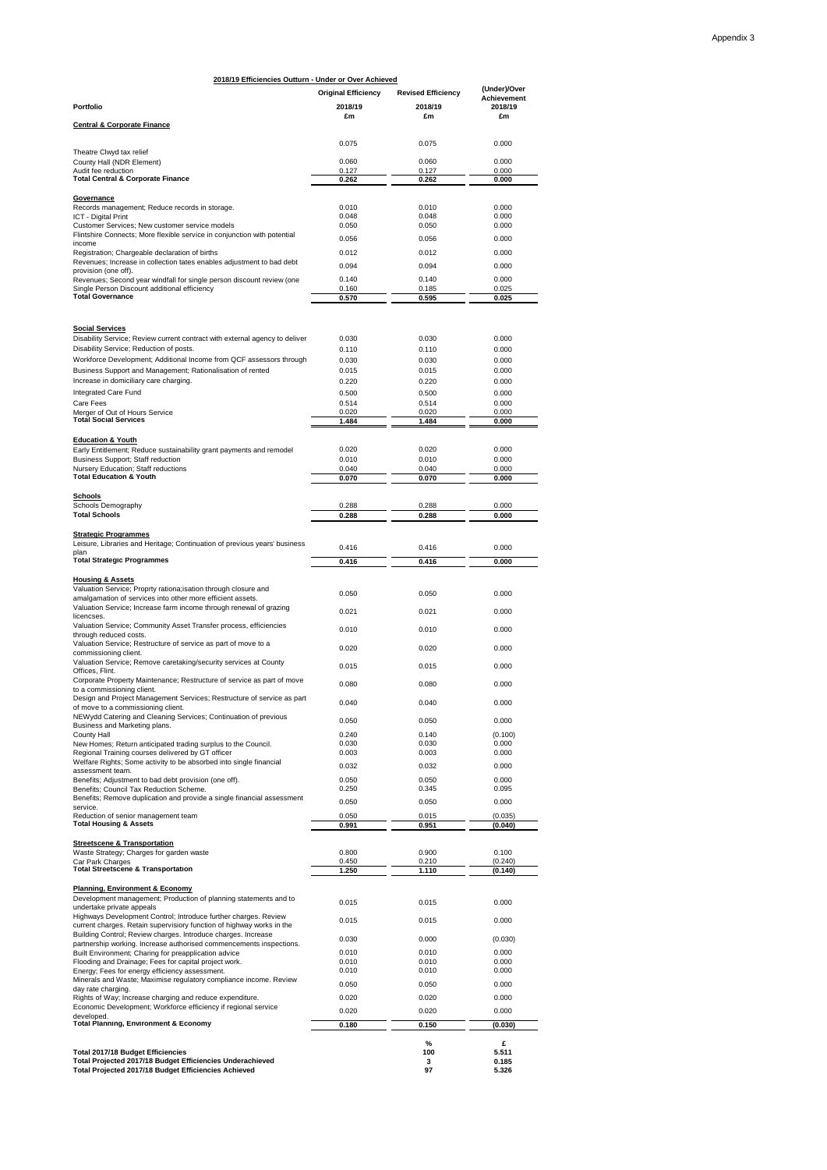| (Under)/Over<br><b>Original Efficiency</b><br><b>Revised Efficiency</b><br><b>Achievement</b><br>2018/19<br>2018/19<br>2018/19<br>£m<br>£m<br>£m<br><b>Central &amp; Corporate Finance</b><br>0.075<br>0.075<br>0.000<br>Theatre Clwyd tax relief<br>0.000<br>0.060<br>0.060<br>0.127<br>0.127<br>0.000<br><b>Total Central &amp; Corporate Finance</b><br>0.262<br>0.262<br>0.000<br>Records management; Reduce records in storage.<br>0.010<br>0.000<br>0.010<br>0.048<br>0.048<br>0.000<br>0.050<br>0.050<br>0.000<br>Flintshire Connects; More flexible service in conjunction with potential<br>0.056<br>0.056<br>0.000<br>0.000<br>0.012<br>0.012<br>Revenues; Increase in collection tates enables adjustment to bad debt<br>0.094<br>0.000<br>0.094<br>provision (one off).<br>0.140<br>0.140<br>0.000<br>0.160<br>0.185<br>0.025<br>Single Person Discount additional efficiency<br>0.570<br>0.595<br>0.025<br><b>Social Services</b><br>Disability Service; Review current contract with external agency to deliver<br>0.000<br>0.030<br>0.030<br>0.110<br>0.110<br>0.000<br>0.030<br>0.030<br>0.000<br>0.015<br>0.015<br>0.000<br>Increase in domiciliary care charging.<br>0.220<br>0.220<br>0.000<br>Integrated Care Fund<br>0.500<br>0.500<br>0.000<br>0.514<br>0.514<br>0.000<br>Care Fees<br>Merger of Out of Hours Service<br>0.020<br>0.020<br>0.000<br><b>Total Social Services</b><br>1.484<br>1.484<br>0.000<br><b>Education &amp; Youth</b><br>Early Entitlement; Reduce sustainability grant payments and remodel<br>0.020<br>0.020<br>0.000<br>0.010<br>0.010<br>0.000<br>Business Support; Staff reduction<br>Nursery Education; Staff reductions<br>0.040<br>0.040<br>0.000<br><b>Total Education &amp; Youth</b><br>0.070<br>0.070<br>0.000<br><b>Schools</b><br>Schools Demography<br>0.288<br>0.288<br>0.000<br><b>Total Schools</b><br>0.288<br>0.288<br>0.000<br><b>Strategic Programmes</b><br>Leisure, Libraries and Heritage; Continuation of previous years' business<br>0.416<br>0.416<br>0.000<br><b>Total Strategic Programmes</b><br>0.416<br>0.416<br>0.000<br><b>Housing &amp; Assets</b><br>Valuation Service; Proprty rationa; isation through closure and<br>0.050<br>0.050<br>0.000<br>amalgamation of services into other more efficient assets.<br>Valuation Service; Increase farm income through renewal of grazing<br>0.021<br>0.021<br>0.000<br>licencses.<br>Valuation Service; Community Asset Transfer process, efficiencies<br>0.010<br>0.010<br>0.000<br>through reduced costs.<br>Valuation Service; Restructure of service as part of move to a<br>0.020<br>0.020<br>0.000<br>commissioning client.<br>Valuation Service; Remove caretaking/security services at County<br>0.015<br>0.015<br>0.000<br>Offices, Flint.<br>Corporate Property Maintenance; Restructure of service as part of move<br>0.080<br>0.080<br>0.000<br>to a commissioning client.<br>Design and Project Management Services; Restructure of service as part<br>0.000<br>0.040<br>0.040<br>of move to a commissioning client.<br>NEWydd Catering and Cleaning Services; Continuation of previous<br>0.050<br>0.050<br>0.000<br>Business and Marketing plans.<br>0.240<br>0.140<br>(0.100)<br>County Hall<br>New Homes; Return anticipated trading surplus to the Council.<br>0.030<br>0.030<br>0.000<br>0.003<br>0.003<br>0.000<br>Regional Training courses delivered by GT officer<br>Welfare Rights; Some activity to be absorbed into single financial<br>0.032<br>0.000<br>0.032<br>assessment team.<br>0.050<br>0.050<br>0.000<br>Benefits; Adjustment to bad debt provision (one off).<br>0.250<br>0.345<br>0.095<br>Benefits; Council Tax Reduction Scheme.<br>Benefits; Remove duplication and provide a single financial assessment<br>0.050<br>0.050<br>0.000<br>service.<br>Reduction of senior management team<br>0.050<br>0.015<br>(0.035)<br><b>Total Housing &amp; Assets</b><br>0.991<br>0.951<br>(0.040)<br><b>Streetscene &amp; Transportation</b><br>Waste Strategy; Charges for garden waste<br>0.800<br>0.900<br>0.100<br>0.450<br>0.210<br>(0.240)<br>Car Park Charges<br><b>Total Streetscene &amp; Transportation</b><br>1.250<br>1.110<br>(0.140)<br><b>Planning, Environment &amp; Economy</b><br>Development management; Production of planning statements and to<br>0.015<br>0.000<br>0.015<br>undertake private appeals<br>Highways Development Control; Introduce further charges. Review<br>0.015<br>0.015<br>0.000<br>current charges. Retain supervisiory function of highway works in the<br>Building Control; Review charges. Introduce charges. Increase<br>0.030<br>0.000<br>(0.030)<br>partnership working. Increase authorised commencements inspections.<br>Built Environment; Charing for preapplication advice<br>0.010<br>0.010<br>0.000<br>0.010<br>0.010<br>0.000<br>Flooding and Drainage; Fees for capital project work.<br>0.000<br>0.010<br>0.010<br>Energy; Fees for energy efficiency assessment.<br>Minerals and Waste; Maximise regulatory compliance income. Review<br>0.050<br>0.000<br>0.050<br>day rate charging.<br>Rights of Way; Increase charging and reduce expenditure.<br>0.020<br>0.020<br>0.000<br>Economic Development; Workforce efficiency if regional service<br>0.020<br>0.020<br>0.000<br>developed.<br><b>Total Planning, Environment &amp; Economy</b><br>0.180<br>0.150<br>(0.030)<br>%<br>£<br>100<br>5.511<br>3<br>0.185 | 2018/19 Efficiencies Outturn - Under or Over Achieved                                                             |    |       |
|----------------------------------------------------------------------------------------------------------------------------------------------------------------------------------------------------------------------------------------------------------------------------------------------------------------------------------------------------------------------------------------------------------------------------------------------------------------------------------------------------------------------------------------------------------------------------------------------------------------------------------------------------------------------------------------------------------------------------------------------------------------------------------------------------------------------------------------------------------------------------------------------------------------------------------------------------------------------------------------------------------------------------------------------------------------------------------------------------------------------------------------------------------------------------------------------------------------------------------------------------------------------------------------------------------------------------------------------------------------------------------------------------------------------------------------------------------------------------------------------------------------------------------------------------------------------------------------------------------------------------------------------------------------------------------------------------------------------------------------------------------------------------------------------------------------------------------------------------------------------------------------------------------------------------------------------------------------------------------------------------------------------------------------------------------------------------------------------------------------------------------------------------------------------------------------------------------------------------------------------------------------------------------------------------------------------------------------------------------------------------------------------------------------------------------------------------------------------------------------------------------------------------------------------------------------------------------------------------------------------------------------------------------------------------------------------------------------------------------------------------------------------------------------------------------------------------------------------------------------------------------------------------------------------------------------------------------------------------------------------------------------------------------------------------------------------------------------------------------------------------------------------------------------------------------------------------------------------------------------------------------------------------------------------------------------------------------------------------------------------------------------------------------------------------------------------------------------------------------------------------------------------------------------------------------------------------------------------------------------------------------------------------------------------------------------------------------------------------------------------------------------------------------------------------------------------------------------------------------------------------------------------------------------------------------------------------------------------------------------------------------------------------------------------------------------------------------------------------------------------------------------------------------------------------------------------------------------------------------------------------------------------------------------------------------------------------------------------------------------------------------------------------------------------------------------------------------------------------------------------------------------------------------------------------------------------------------------------------------------------------------------------------------------------------------------------------------------------------------------------------------------------------------------------------------------------------------------------------------------------------------------------------------------------------------------------------------------------------------------------------------------------------------------------------------------------------------------------------------------------------------------------------------------------------------------------------------------------------------------------------------------------------------------------------------------------------------------------------------------------------------------------------------------------------------------|-------------------------------------------------------------------------------------------------------------------|----|-------|
|                                                                                                                                                                                                                                                                                                                                                                                                                                                                                                                                                                                                                                                                                                                                                                                                                                                                                                                                                                                                                                                                                                                                                                                                                                                                                                                                                                                                                                                                                                                                                                                                                                                                                                                                                                                                                                                                                                                                                                                                                                                                                                                                                                                                                                                                                                                                                                                                                                                                                                                                                                                                                                                                                                                                                                                                                                                                                                                                                                                                                                                                                                                                                                                                                                                                                                                                                                                                                                                                                                                                                                                                                                                                                                                                                                                                                                                                                                                                                                                                                                                                                                                                                                                                                                                                                                                                                                                                                                                                                                                                                                                                                                                                                                                                                                                                                                                                                                                                                                                                                                                                                                                                                                                                                                                                                                                                                                                                                                        |                                                                                                                   |    |       |
|                                                                                                                                                                                                                                                                                                                                                                                                                                                                                                                                                                                                                                                                                                                                                                                                                                                                                                                                                                                                                                                                                                                                                                                                                                                                                                                                                                                                                                                                                                                                                                                                                                                                                                                                                                                                                                                                                                                                                                                                                                                                                                                                                                                                                                                                                                                                                                                                                                                                                                                                                                                                                                                                                                                                                                                                                                                                                                                                                                                                                                                                                                                                                                                                                                                                                                                                                                                                                                                                                                                                                                                                                                                                                                                                                                                                                                                                                                                                                                                                                                                                                                                                                                                                                                                                                                                                                                                                                                                                                                                                                                                                                                                                                                                                                                                                                                                                                                                                                                                                                                                                                                                                                                                                                                                                                                                                                                                                                                        | Portfolio                                                                                                         |    |       |
|                                                                                                                                                                                                                                                                                                                                                                                                                                                                                                                                                                                                                                                                                                                                                                                                                                                                                                                                                                                                                                                                                                                                                                                                                                                                                                                                                                                                                                                                                                                                                                                                                                                                                                                                                                                                                                                                                                                                                                                                                                                                                                                                                                                                                                                                                                                                                                                                                                                                                                                                                                                                                                                                                                                                                                                                                                                                                                                                                                                                                                                                                                                                                                                                                                                                                                                                                                                                                                                                                                                                                                                                                                                                                                                                                                                                                                                                                                                                                                                                                                                                                                                                                                                                                                                                                                                                                                                                                                                                                                                                                                                                                                                                                                                                                                                                                                                                                                                                                                                                                                                                                                                                                                                                                                                                                                                                                                                                                                        |                                                                                                                   |    |       |
|                                                                                                                                                                                                                                                                                                                                                                                                                                                                                                                                                                                                                                                                                                                                                                                                                                                                                                                                                                                                                                                                                                                                                                                                                                                                                                                                                                                                                                                                                                                                                                                                                                                                                                                                                                                                                                                                                                                                                                                                                                                                                                                                                                                                                                                                                                                                                                                                                                                                                                                                                                                                                                                                                                                                                                                                                                                                                                                                                                                                                                                                                                                                                                                                                                                                                                                                                                                                                                                                                                                                                                                                                                                                                                                                                                                                                                                                                                                                                                                                                                                                                                                                                                                                                                                                                                                                                                                                                                                                                                                                                                                                                                                                                                                                                                                                                                                                                                                                                                                                                                                                                                                                                                                                                                                                                                                                                                                                                                        |                                                                                                                   |    |       |
|                                                                                                                                                                                                                                                                                                                                                                                                                                                                                                                                                                                                                                                                                                                                                                                                                                                                                                                                                                                                                                                                                                                                                                                                                                                                                                                                                                                                                                                                                                                                                                                                                                                                                                                                                                                                                                                                                                                                                                                                                                                                                                                                                                                                                                                                                                                                                                                                                                                                                                                                                                                                                                                                                                                                                                                                                                                                                                                                                                                                                                                                                                                                                                                                                                                                                                                                                                                                                                                                                                                                                                                                                                                                                                                                                                                                                                                                                                                                                                                                                                                                                                                                                                                                                                                                                                                                                                                                                                                                                                                                                                                                                                                                                                                                                                                                                                                                                                                                                                                                                                                                                                                                                                                                                                                                                                                                                                                                                                        |                                                                                                                   |    |       |
|                                                                                                                                                                                                                                                                                                                                                                                                                                                                                                                                                                                                                                                                                                                                                                                                                                                                                                                                                                                                                                                                                                                                                                                                                                                                                                                                                                                                                                                                                                                                                                                                                                                                                                                                                                                                                                                                                                                                                                                                                                                                                                                                                                                                                                                                                                                                                                                                                                                                                                                                                                                                                                                                                                                                                                                                                                                                                                                                                                                                                                                                                                                                                                                                                                                                                                                                                                                                                                                                                                                                                                                                                                                                                                                                                                                                                                                                                                                                                                                                                                                                                                                                                                                                                                                                                                                                                                                                                                                                                                                                                                                                                                                                                                                                                                                                                                                                                                                                                                                                                                                                                                                                                                                                                                                                                                                                                                                                                                        | County Hall (NDR Element)                                                                                         |    |       |
|                                                                                                                                                                                                                                                                                                                                                                                                                                                                                                                                                                                                                                                                                                                                                                                                                                                                                                                                                                                                                                                                                                                                                                                                                                                                                                                                                                                                                                                                                                                                                                                                                                                                                                                                                                                                                                                                                                                                                                                                                                                                                                                                                                                                                                                                                                                                                                                                                                                                                                                                                                                                                                                                                                                                                                                                                                                                                                                                                                                                                                                                                                                                                                                                                                                                                                                                                                                                                                                                                                                                                                                                                                                                                                                                                                                                                                                                                                                                                                                                                                                                                                                                                                                                                                                                                                                                                                                                                                                                                                                                                                                                                                                                                                                                                                                                                                                                                                                                                                                                                                                                                                                                                                                                                                                                                                                                                                                                                                        | Audit fee reduction                                                                                               |    |       |
|                                                                                                                                                                                                                                                                                                                                                                                                                                                                                                                                                                                                                                                                                                                                                                                                                                                                                                                                                                                                                                                                                                                                                                                                                                                                                                                                                                                                                                                                                                                                                                                                                                                                                                                                                                                                                                                                                                                                                                                                                                                                                                                                                                                                                                                                                                                                                                                                                                                                                                                                                                                                                                                                                                                                                                                                                                                                                                                                                                                                                                                                                                                                                                                                                                                                                                                                                                                                                                                                                                                                                                                                                                                                                                                                                                                                                                                                                                                                                                                                                                                                                                                                                                                                                                                                                                                                                                                                                                                                                                                                                                                                                                                                                                                                                                                                                                                                                                                                                                                                                                                                                                                                                                                                                                                                                                                                                                                                                                        |                                                                                                                   |    |       |
|                                                                                                                                                                                                                                                                                                                                                                                                                                                                                                                                                                                                                                                                                                                                                                                                                                                                                                                                                                                                                                                                                                                                                                                                                                                                                                                                                                                                                                                                                                                                                                                                                                                                                                                                                                                                                                                                                                                                                                                                                                                                                                                                                                                                                                                                                                                                                                                                                                                                                                                                                                                                                                                                                                                                                                                                                                                                                                                                                                                                                                                                                                                                                                                                                                                                                                                                                                                                                                                                                                                                                                                                                                                                                                                                                                                                                                                                                                                                                                                                                                                                                                                                                                                                                                                                                                                                                                                                                                                                                                                                                                                                                                                                                                                                                                                                                                                                                                                                                                                                                                                                                                                                                                                                                                                                                                                                                                                                                                        | Governance                                                                                                        |    |       |
|                                                                                                                                                                                                                                                                                                                                                                                                                                                                                                                                                                                                                                                                                                                                                                                                                                                                                                                                                                                                                                                                                                                                                                                                                                                                                                                                                                                                                                                                                                                                                                                                                                                                                                                                                                                                                                                                                                                                                                                                                                                                                                                                                                                                                                                                                                                                                                                                                                                                                                                                                                                                                                                                                                                                                                                                                                                                                                                                                                                                                                                                                                                                                                                                                                                                                                                                                                                                                                                                                                                                                                                                                                                                                                                                                                                                                                                                                                                                                                                                                                                                                                                                                                                                                                                                                                                                                                                                                                                                                                                                                                                                                                                                                                                                                                                                                                                                                                                                                                                                                                                                                                                                                                                                                                                                                                                                                                                                                                        | <b>ICT - Digital Print</b>                                                                                        |    |       |
|                                                                                                                                                                                                                                                                                                                                                                                                                                                                                                                                                                                                                                                                                                                                                                                                                                                                                                                                                                                                                                                                                                                                                                                                                                                                                                                                                                                                                                                                                                                                                                                                                                                                                                                                                                                                                                                                                                                                                                                                                                                                                                                                                                                                                                                                                                                                                                                                                                                                                                                                                                                                                                                                                                                                                                                                                                                                                                                                                                                                                                                                                                                                                                                                                                                                                                                                                                                                                                                                                                                                                                                                                                                                                                                                                                                                                                                                                                                                                                                                                                                                                                                                                                                                                                                                                                                                                                                                                                                                                                                                                                                                                                                                                                                                                                                                                                                                                                                                                                                                                                                                                                                                                                                                                                                                                                                                                                                                                                        | Customer Services; New customer service models                                                                    |    |       |
|                                                                                                                                                                                                                                                                                                                                                                                                                                                                                                                                                                                                                                                                                                                                                                                                                                                                                                                                                                                                                                                                                                                                                                                                                                                                                                                                                                                                                                                                                                                                                                                                                                                                                                                                                                                                                                                                                                                                                                                                                                                                                                                                                                                                                                                                                                                                                                                                                                                                                                                                                                                                                                                                                                                                                                                                                                                                                                                                                                                                                                                                                                                                                                                                                                                                                                                                                                                                                                                                                                                                                                                                                                                                                                                                                                                                                                                                                                                                                                                                                                                                                                                                                                                                                                                                                                                                                                                                                                                                                                                                                                                                                                                                                                                                                                                                                                                                                                                                                                                                                                                                                                                                                                                                                                                                                                                                                                                                                                        | income                                                                                                            |    |       |
|                                                                                                                                                                                                                                                                                                                                                                                                                                                                                                                                                                                                                                                                                                                                                                                                                                                                                                                                                                                                                                                                                                                                                                                                                                                                                                                                                                                                                                                                                                                                                                                                                                                                                                                                                                                                                                                                                                                                                                                                                                                                                                                                                                                                                                                                                                                                                                                                                                                                                                                                                                                                                                                                                                                                                                                                                                                                                                                                                                                                                                                                                                                                                                                                                                                                                                                                                                                                                                                                                                                                                                                                                                                                                                                                                                                                                                                                                                                                                                                                                                                                                                                                                                                                                                                                                                                                                                                                                                                                                                                                                                                                                                                                                                                                                                                                                                                                                                                                                                                                                                                                                                                                                                                                                                                                                                                                                                                                                                        | Registration; Chargeable declaration of births                                                                    |    |       |
|                                                                                                                                                                                                                                                                                                                                                                                                                                                                                                                                                                                                                                                                                                                                                                                                                                                                                                                                                                                                                                                                                                                                                                                                                                                                                                                                                                                                                                                                                                                                                                                                                                                                                                                                                                                                                                                                                                                                                                                                                                                                                                                                                                                                                                                                                                                                                                                                                                                                                                                                                                                                                                                                                                                                                                                                                                                                                                                                                                                                                                                                                                                                                                                                                                                                                                                                                                                                                                                                                                                                                                                                                                                                                                                                                                                                                                                                                                                                                                                                                                                                                                                                                                                                                                                                                                                                                                                                                                                                                                                                                                                                                                                                                                                                                                                                                                                                                                                                                                                                                                                                                                                                                                                                                                                                                                                                                                                                                                        |                                                                                                                   |    |       |
|                                                                                                                                                                                                                                                                                                                                                                                                                                                                                                                                                                                                                                                                                                                                                                                                                                                                                                                                                                                                                                                                                                                                                                                                                                                                                                                                                                                                                                                                                                                                                                                                                                                                                                                                                                                                                                                                                                                                                                                                                                                                                                                                                                                                                                                                                                                                                                                                                                                                                                                                                                                                                                                                                                                                                                                                                                                                                                                                                                                                                                                                                                                                                                                                                                                                                                                                                                                                                                                                                                                                                                                                                                                                                                                                                                                                                                                                                                                                                                                                                                                                                                                                                                                                                                                                                                                                                                                                                                                                                                                                                                                                                                                                                                                                                                                                                                                                                                                                                                                                                                                                                                                                                                                                                                                                                                                                                                                                                                        | Revenues; Second year windfall for single person discount review (one                                             |    |       |
|                                                                                                                                                                                                                                                                                                                                                                                                                                                                                                                                                                                                                                                                                                                                                                                                                                                                                                                                                                                                                                                                                                                                                                                                                                                                                                                                                                                                                                                                                                                                                                                                                                                                                                                                                                                                                                                                                                                                                                                                                                                                                                                                                                                                                                                                                                                                                                                                                                                                                                                                                                                                                                                                                                                                                                                                                                                                                                                                                                                                                                                                                                                                                                                                                                                                                                                                                                                                                                                                                                                                                                                                                                                                                                                                                                                                                                                                                                                                                                                                                                                                                                                                                                                                                                                                                                                                                                                                                                                                                                                                                                                                                                                                                                                                                                                                                                                                                                                                                                                                                                                                                                                                                                                                                                                                                                                                                                                                                                        | <b>Total Governance</b>                                                                                           |    |       |
|                                                                                                                                                                                                                                                                                                                                                                                                                                                                                                                                                                                                                                                                                                                                                                                                                                                                                                                                                                                                                                                                                                                                                                                                                                                                                                                                                                                                                                                                                                                                                                                                                                                                                                                                                                                                                                                                                                                                                                                                                                                                                                                                                                                                                                                                                                                                                                                                                                                                                                                                                                                                                                                                                                                                                                                                                                                                                                                                                                                                                                                                                                                                                                                                                                                                                                                                                                                                                                                                                                                                                                                                                                                                                                                                                                                                                                                                                                                                                                                                                                                                                                                                                                                                                                                                                                                                                                                                                                                                                                                                                                                                                                                                                                                                                                                                                                                                                                                                                                                                                                                                                                                                                                                                                                                                                                                                                                                                                                        |                                                                                                                   |    |       |
|                                                                                                                                                                                                                                                                                                                                                                                                                                                                                                                                                                                                                                                                                                                                                                                                                                                                                                                                                                                                                                                                                                                                                                                                                                                                                                                                                                                                                                                                                                                                                                                                                                                                                                                                                                                                                                                                                                                                                                                                                                                                                                                                                                                                                                                                                                                                                                                                                                                                                                                                                                                                                                                                                                                                                                                                                                                                                                                                                                                                                                                                                                                                                                                                                                                                                                                                                                                                                                                                                                                                                                                                                                                                                                                                                                                                                                                                                                                                                                                                                                                                                                                                                                                                                                                                                                                                                                                                                                                                                                                                                                                                                                                                                                                                                                                                                                                                                                                                                                                                                                                                                                                                                                                                                                                                                                                                                                                                                                        |                                                                                                                   |    |       |
|                                                                                                                                                                                                                                                                                                                                                                                                                                                                                                                                                                                                                                                                                                                                                                                                                                                                                                                                                                                                                                                                                                                                                                                                                                                                                                                                                                                                                                                                                                                                                                                                                                                                                                                                                                                                                                                                                                                                                                                                                                                                                                                                                                                                                                                                                                                                                                                                                                                                                                                                                                                                                                                                                                                                                                                                                                                                                                                                                                                                                                                                                                                                                                                                                                                                                                                                                                                                                                                                                                                                                                                                                                                                                                                                                                                                                                                                                                                                                                                                                                                                                                                                                                                                                                                                                                                                                                                                                                                                                                                                                                                                                                                                                                                                                                                                                                                                                                                                                                                                                                                                                                                                                                                                                                                                                                                                                                                                                                        |                                                                                                                   |    |       |
|                                                                                                                                                                                                                                                                                                                                                                                                                                                                                                                                                                                                                                                                                                                                                                                                                                                                                                                                                                                                                                                                                                                                                                                                                                                                                                                                                                                                                                                                                                                                                                                                                                                                                                                                                                                                                                                                                                                                                                                                                                                                                                                                                                                                                                                                                                                                                                                                                                                                                                                                                                                                                                                                                                                                                                                                                                                                                                                                                                                                                                                                                                                                                                                                                                                                                                                                                                                                                                                                                                                                                                                                                                                                                                                                                                                                                                                                                                                                                                                                                                                                                                                                                                                                                                                                                                                                                                                                                                                                                                                                                                                                                                                                                                                                                                                                                                                                                                                                                                                                                                                                                                                                                                                                                                                                                                                                                                                                                                        | Disability Service; Reduction of posts.                                                                           |    |       |
|                                                                                                                                                                                                                                                                                                                                                                                                                                                                                                                                                                                                                                                                                                                                                                                                                                                                                                                                                                                                                                                                                                                                                                                                                                                                                                                                                                                                                                                                                                                                                                                                                                                                                                                                                                                                                                                                                                                                                                                                                                                                                                                                                                                                                                                                                                                                                                                                                                                                                                                                                                                                                                                                                                                                                                                                                                                                                                                                                                                                                                                                                                                                                                                                                                                                                                                                                                                                                                                                                                                                                                                                                                                                                                                                                                                                                                                                                                                                                                                                                                                                                                                                                                                                                                                                                                                                                                                                                                                                                                                                                                                                                                                                                                                                                                                                                                                                                                                                                                                                                                                                                                                                                                                                                                                                                                                                                                                                                                        | Workforce Development; Additional Income from QCF assessors through                                               |    |       |
|                                                                                                                                                                                                                                                                                                                                                                                                                                                                                                                                                                                                                                                                                                                                                                                                                                                                                                                                                                                                                                                                                                                                                                                                                                                                                                                                                                                                                                                                                                                                                                                                                                                                                                                                                                                                                                                                                                                                                                                                                                                                                                                                                                                                                                                                                                                                                                                                                                                                                                                                                                                                                                                                                                                                                                                                                                                                                                                                                                                                                                                                                                                                                                                                                                                                                                                                                                                                                                                                                                                                                                                                                                                                                                                                                                                                                                                                                                                                                                                                                                                                                                                                                                                                                                                                                                                                                                                                                                                                                                                                                                                                                                                                                                                                                                                                                                                                                                                                                                                                                                                                                                                                                                                                                                                                                                                                                                                                                                        | Business Support and Management; Rationalisation of rented                                                        |    |       |
|                                                                                                                                                                                                                                                                                                                                                                                                                                                                                                                                                                                                                                                                                                                                                                                                                                                                                                                                                                                                                                                                                                                                                                                                                                                                                                                                                                                                                                                                                                                                                                                                                                                                                                                                                                                                                                                                                                                                                                                                                                                                                                                                                                                                                                                                                                                                                                                                                                                                                                                                                                                                                                                                                                                                                                                                                                                                                                                                                                                                                                                                                                                                                                                                                                                                                                                                                                                                                                                                                                                                                                                                                                                                                                                                                                                                                                                                                                                                                                                                                                                                                                                                                                                                                                                                                                                                                                                                                                                                                                                                                                                                                                                                                                                                                                                                                                                                                                                                                                                                                                                                                                                                                                                                                                                                                                                                                                                                                                        |                                                                                                                   |    |       |
|                                                                                                                                                                                                                                                                                                                                                                                                                                                                                                                                                                                                                                                                                                                                                                                                                                                                                                                                                                                                                                                                                                                                                                                                                                                                                                                                                                                                                                                                                                                                                                                                                                                                                                                                                                                                                                                                                                                                                                                                                                                                                                                                                                                                                                                                                                                                                                                                                                                                                                                                                                                                                                                                                                                                                                                                                                                                                                                                                                                                                                                                                                                                                                                                                                                                                                                                                                                                                                                                                                                                                                                                                                                                                                                                                                                                                                                                                                                                                                                                                                                                                                                                                                                                                                                                                                                                                                                                                                                                                                                                                                                                                                                                                                                                                                                                                                                                                                                                                                                                                                                                                                                                                                                                                                                                                                                                                                                                                                        |                                                                                                                   |    |       |
|                                                                                                                                                                                                                                                                                                                                                                                                                                                                                                                                                                                                                                                                                                                                                                                                                                                                                                                                                                                                                                                                                                                                                                                                                                                                                                                                                                                                                                                                                                                                                                                                                                                                                                                                                                                                                                                                                                                                                                                                                                                                                                                                                                                                                                                                                                                                                                                                                                                                                                                                                                                                                                                                                                                                                                                                                                                                                                                                                                                                                                                                                                                                                                                                                                                                                                                                                                                                                                                                                                                                                                                                                                                                                                                                                                                                                                                                                                                                                                                                                                                                                                                                                                                                                                                                                                                                                                                                                                                                                                                                                                                                                                                                                                                                                                                                                                                                                                                                                                                                                                                                                                                                                                                                                                                                                                                                                                                                                                        |                                                                                                                   |    |       |
|                                                                                                                                                                                                                                                                                                                                                                                                                                                                                                                                                                                                                                                                                                                                                                                                                                                                                                                                                                                                                                                                                                                                                                                                                                                                                                                                                                                                                                                                                                                                                                                                                                                                                                                                                                                                                                                                                                                                                                                                                                                                                                                                                                                                                                                                                                                                                                                                                                                                                                                                                                                                                                                                                                                                                                                                                                                                                                                                                                                                                                                                                                                                                                                                                                                                                                                                                                                                                                                                                                                                                                                                                                                                                                                                                                                                                                                                                                                                                                                                                                                                                                                                                                                                                                                                                                                                                                                                                                                                                                                                                                                                                                                                                                                                                                                                                                                                                                                                                                                                                                                                                                                                                                                                                                                                                                                                                                                                                                        |                                                                                                                   |    |       |
|                                                                                                                                                                                                                                                                                                                                                                                                                                                                                                                                                                                                                                                                                                                                                                                                                                                                                                                                                                                                                                                                                                                                                                                                                                                                                                                                                                                                                                                                                                                                                                                                                                                                                                                                                                                                                                                                                                                                                                                                                                                                                                                                                                                                                                                                                                                                                                                                                                                                                                                                                                                                                                                                                                                                                                                                                                                                                                                                                                                                                                                                                                                                                                                                                                                                                                                                                                                                                                                                                                                                                                                                                                                                                                                                                                                                                                                                                                                                                                                                                                                                                                                                                                                                                                                                                                                                                                                                                                                                                                                                                                                                                                                                                                                                                                                                                                                                                                                                                                                                                                                                                                                                                                                                                                                                                                                                                                                                                                        |                                                                                                                   |    |       |
|                                                                                                                                                                                                                                                                                                                                                                                                                                                                                                                                                                                                                                                                                                                                                                                                                                                                                                                                                                                                                                                                                                                                                                                                                                                                                                                                                                                                                                                                                                                                                                                                                                                                                                                                                                                                                                                                                                                                                                                                                                                                                                                                                                                                                                                                                                                                                                                                                                                                                                                                                                                                                                                                                                                                                                                                                                                                                                                                                                                                                                                                                                                                                                                                                                                                                                                                                                                                                                                                                                                                                                                                                                                                                                                                                                                                                                                                                                                                                                                                                                                                                                                                                                                                                                                                                                                                                                                                                                                                                                                                                                                                                                                                                                                                                                                                                                                                                                                                                                                                                                                                                                                                                                                                                                                                                                                                                                                                                                        |                                                                                                                   |    |       |
|                                                                                                                                                                                                                                                                                                                                                                                                                                                                                                                                                                                                                                                                                                                                                                                                                                                                                                                                                                                                                                                                                                                                                                                                                                                                                                                                                                                                                                                                                                                                                                                                                                                                                                                                                                                                                                                                                                                                                                                                                                                                                                                                                                                                                                                                                                                                                                                                                                                                                                                                                                                                                                                                                                                                                                                                                                                                                                                                                                                                                                                                                                                                                                                                                                                                                                                                                                                                                                                                                                                                                                                                                                                                                                                                                                                                                                                                                                                                                                                                                                                                                                                                                                                                                                                                                                                                                                                                                                                                                                                                                                                                                                                                                                                                                                                                                                                                                                                                                                                                                                                                                                                                                                                                                                                                                                                                                                                                                                        |                                                                                                                   |    |       |
|                                                                                                                                                                                                                                                                                                                                                                                                                                                                                                                                                                                                                                                                                                                                                                                                                                                                                                                                                                                                                                                                                                                                                                                                                                                                                                                                                                                                                                                                                                                                                                                                                                                                                                                                                                                                                                                                                                                                                                                                                                                                                                                                                                                                                                                                                                                                                                                                                                                                                                                                                                                                                                                                                                                                                                                                                                                                                                                                                                                                                                                                                                                                                                                                                                                                                                                                                                                                                                                                                                                                                                                                                                                                                                                                                                                                                                                                                                                                                                                                                                                                                                                                                                                                                                                                                                                                                                                                                                                                                                                                                                                                                                                                                                                                                                                                                                                                                                                                                                                                                                                                                                                                                                                                                                                                                                                                                                                                                                        |                                                                                                                   |    |       |
|                                                                                                                                                                                                                                                                                                                                                                                                                                                                                                                                                                                                                                                                                                                                                                                                                                                                                                                                                                                                                                                                                                                                                                                                                                                                                                                                                                                                                                                                                                                                                                                                                                                                                                                                                                                                                                                                                                                                                                                                                                                                                                                                                                                                                                                                                                                                                                                                                                                                                                                                                                                                                                                                                                                                                                                                                                                                                                                                                                                                                                                                                                                                                                                                                                                                                                                                                                                                                                                                                                                                                                                                                                                                                                                                                                                                                                                                                                                                                                                                                                                                                                                                                                                                                                                                                                                                                                                                                                                                                                                                                                                                                                                                                                                                                                                                                                                                                                                                                                                                                                                                                                                                                                                                                                                                                                                                                                                                                                        |                                                                                                                   |    |       |
|                                                                                                                                                                                                                                                                                                                                                                                                                                                                                                                                                                                                                                                                                                                                                                                                                                                                                                                                                                                                                                                                                                                                                                                                                                                                                                                                                                                                                                                                                                                                                                                                                                                                                                                                                                                                                                                                                                                                                                                                                                                                                                                                                                                                                                                                                                                                                                                                                                                                                                                                                                                                                                                                                                                                                                                                                                                                                                                                                                                                                                                                                                                                                                                                                                                                                                                                                                                                                                                                                                                                                                                                                                                                                                                                                                                                                                                                                                                                                                                                                                                                                                                                                                                                                                                                                                                                                                                                                                                                                                                                                                                                                                                                                                                                                                                                                                                                                                                                                                                                                                                                                                                                                                                                                                                                                                                                                                                                                                        |                                                                                                                   |    |       |
|                                                                                                                                                                                                                                                                                                                                                                                                                                                                                                                                                                                                                                                                                                                                                                                                                                                                                                                                                                                                                                                                                                                                                                                                                                                                                                                                                                                                                                                                                                                                                                                                                                                                                                                                                                                                                                                                                                                                                                                                                                                                                                                                                                                                                                                                                                                                                                                                                                                                                                                                                                                                                                                                                                                                                                                                                                                                                                                                                                                                                                                                                                                                                                                                                                                                                                                                                                                                                                                                                                                                                                                                                                                                                                                                                                                                                                                                                                                                                                                                                                                                                                                                                                                                                                                                                                                                                                                                                                                                                                                                                                                                                                                                                                                                                                                                                                                                                                                                                                                                                                                                                                                                                                                                                                                                                                                                                                                                                                        |                                                                                                                   |    |       |
|                                                                                                                                                                                                                                                                                                                                                                                                                                                                                                                                                                                                                                                                                                                                                                                                                                                                                                                                                                                                                                                                                                                                                                                                                                                                                                                                                                                                                                                                                                                                                                                                                                                                                                                                                                                                                                                                                                                                                                                                                                                                                                                                                                                                                                                                                                                                                                                                                                                                                                                                                                                                                                                                                                                                                                                                                                                                                                                                                                                                                                                                                                                                                                                                                                                                                                                                                                                                                                                                                                                                                                                                                                                                                                                                                                                                                                                                                                                                                                                                                                                                                                                                                                                                                                                                                                                                                                                                                                                                                                                                                                                                                                                                                                                                                                                                                                                                                                                                                                                                                                                                                                                                                                                                                                                                                                                                                                                                                                        |                                                                                                                   |    |       |
|                                                                                                                                                                                                                                                                                                                                                                                                                                                                                                                                                                                                                                                                                                                                                                                                                                                                                                                                                                                                                                                                                                                                                                                                                                                                                                                                                                                                                                                                                                                                                                                                                                                                                                                                                                                                                                                                                                                                                                                                                                                                                                                                                                                                                                                                                                                                                                                                                                                                                                                                                                                                                                                                                                                                                                                                                                                                                                                                                                                                                                                                                                                                                                                                                                                                                                                                                                                                                                                                                                                                                                                                                                                                                                                                                                                                                                                                                                                                                                                                                                                                                                                                                                                                                                                                                                                                                                                                                                                                                                                                                                                                                                                                                                                                                                                                                                                                                                                                                                                                                                                                                                                                                                                                                                                                                                                                                                                                                                        | plan                                                                                                              |    |       |
|                                                                                                                                                                                                                                                                                                                                                                                                                                                                                                                                                                                                                                                                                                                                                                                                                                                                                                                                                                                                                                                                                                                                                                                                                                                                                                                                                                                                                                                                                                                                                                                                                                                                                                                                                                                                                                                                                                                                                                                                                                                                                                                                                                                                                                                                                                                                                                                                                                                                                                                                                                                                                                                                                                                                                                                                                                                                                                                                                                                                                                                                                                                                                                                                                                                                                                                                                                                                                                                                                                                                                                                                                                                                                                                                                                                                                                                                                                                                                                                                                                                                                                                                                                                                                                                                                                                                                                                                                                                                                                                                                                                                                                                                                                                                                                                                                                                                                                                                                                                                                                                                                                                                                                                                                                                                                                                                                                                                                                        |                                                                                                                   |    |       |
|                                                                                                                                                                                                                                                                                                                                                                                                                                                                                                                                                                                                                                                                                                                                                                                                                                                                                                                                                                                                                                                                                                                                                                                                                                                                                                                                                                                                                                                                                                                                                                                                                                                                                                                                                                                                                                                                                                                                                                                                                                                                                                                                                                                                                                                                                                                                                                                                                                                                                                                                                                                                                                                                                                                                                                                                                                                                                                                                                                                                                                                                                                                                                                                                                                                                                                                                                                                                                                                                                                                                                                                                                                                                                                                                                                                                                                                                                                                                                                                                                                                                                                                                                                                                                                                                                                                                                                                                                                                                                                                                                                                                                                                                                                                                                                                                                                                                                                                                                                                                                                                                                                                                                                                                                                                                                                                                                                                                                                        |                                                                                                                   |    |       |
|                                                                                                                                                                                                                                                                                                                                                                                                                                                                                                                                                                                                                                                                                                                                                                                                                                                                                                                                                                                                                                                                                                                                                                                                                                                                                                                                                                                                                                                                                                                                                                                                                                                                                                                                                                                                                                                                                                                                                                                                                                                                                                                                                                                                                                                                                                                                                                                                                                                                                                                                                                                                                                                                                                                                                                                                                                                                                                                                                                                                                                                                                                                                                                                                                                                                                                                                                                                                                                                                                                                                                                                                                                                                                                                                                                                                                                                                                                                                                                                                                                                                                                                                                                                                                                                                                                                                                                                                                                                                                                                                                                                                                                                                                                                                                                                                                                                                                                                                                                                                                                                                                                                                                                                                                                                                                                                                                                                                                                        |                                                                                                                   |    |       |
|                                                                                                                                                                                                                                                                                                                                                                                                                                                                                                                                                                                                                                                                                                                                                                                                                                                                                                                                                                                                                                                                                                                                                                                                                                                                                                                                                                                                                                                                                                                                                                                                                                                                                                                                                                                                                                                                                                                                                                                                                                                                                                                                                                                                                                                                                                                                                                                                                                                                                                                                                                                                                                                                                                                                                                                                                                                                                                                                                                                                                                                                                                                                                                                                                                                                                                                                                                                                                                                                                                                                                                                                                                                                                                                                                                                                                                                                                                                                                                                                                                                                                                                                                                                                                                                                                                                                                                                                                                                                                                                                                                                                                                                                                                                                                                                                                                                                                                                                                                                                                                                                                                                                                                                                                                                                                                                                                                                                                                        |                                                                                                                   |    |       |
|                                                                                                                                                                                                                                                                                                                                                                                                                                                                                                                                                                                                                                                                                                                                                                                                                                                                                                                                                                                                                                                                                                                                                                                                                                                                                                                                                                                                                                                                                                                                                                                                                                                                                                                                                                                                                                                                                                                                                                                                                                                                                                                                                                                                                                                                                                                                                                                                                                                                                                                                                                                                                                                                                                                                                                                                                                                                                                                                                                                                                                                                                                                                                                                                                                                                                                                                                                                                                                                                                                                                                                                                                                                                                                                                                                                                                                                                                                                                                                                                                                                                                                                                                                                                                                                                                                                                                                                                                                                                                                                                                                                                                                                                                                                                                                                                                                                                                                                                                                                                                                                                                                                                                                                                                                                                                                                                                                                                                                        |                                                                                                                   |    |       |
|                                                                                                                                                                                                                                                                                                                                                                                                                                                                                                                                                                                                                                                                                                                                                                                                                                                                                                                                                                                                                                                                                                                                                                                                                                                                                                                                                                                                                                                                                                                                                                                                                                                                                                                                                                                                                                                                                                                                                                                                                                                                                                                                                                                                                                                                                                                                                                                                                                                                                                                                                                                                                                                                                                                                                                                                                                                                                                                                                                                                                                                                                                                                                                                                                                                                                                                                                                                                                                                                                                                                                                                                                                                                                                                                                                                                                                                                                                                                                                                                                                                                                                                                                                                                                                                                                                                                                                                                                                                                                                                                                                                                                                                                                                                                                                                                                                                                                                                                                                                                                                                                                                                                                                                                                                                                                                                                                                                                                                        |                                                                                                                   |    |       |
|                                                                                                                                                                                                                                                                                                                                                                                                                                                                                                                                                                                                                                                                                                                                                                                                                                                                                                                                                                                                                                                                                                                                                                                                                                                                                                                                                                                                                                                                                                                                                                                                                                                                                                                                                                                                                                                                                                                                                                                                                                                                                                                                                                                                                                                                                                                                                                                                                                                                                                                                                                                                                                                                                                                                                                                                                                                                                                                                                                                                                                                                                                                                                                                                                                                                                                                                                                                                                                                                                                                                                                                                                                                                                                                                                                                                                                                                                                                                                                                                                                                                                                                                                                                                                                                                                                                                                                                                                                                                                                                                                                                                                                                                                                                                                                                                                                                                                                                                                                                                                                                                                                                                                                                                                                                                                                                                                                                                                                        |                                                                                                                   |    |       |
|                                                                                                                                                                                                                                                                                                                                                                                                                                                                                                                                                                                                                                                                                                                                                                                                                                                                                                                                                                                                                                                                                                                                                                                                                                                                                                                                                                                                                                                                                                                                                                                                                                                                                                                                                                                                                                                                                                                                                                                                                                                                                                                                                                                                                                                                                                                                                                                                                                                                                                                                                                                                                                                                                                                                                                                                                                                                                                                                                                                                                                                                                                                                                                                                                                                                                                                                                                                                                                                                                                                                                                                                                                                                                                                                                                                                                                                                                                                                                                                                                                                                                                                                                                                                                                                                                                                                                                                                                                                                                                                                                                                                                                                                                                                                                                                                                                                                                                                                                                                                                                                                                                                                                                                                                                                                                                                                                                                                                                        |                                                                                                                   |    |       |
|                                                                                                                                                                                                                                                                                                                                                                                                                                                                                                                                                                                                                                                                                                                                                                                                                                                                                                                                                                                                                                                                                                                                                                                                                                                                                                                                                                                                                                                                                                                                                                                                                                                                                                                                                                                                                                                                                                                                                                                                                                                                                                                                                                                                                                                                                                                                                                                                                                                                                                                                                                                                                                                                                                                                                                                                                                                                                                                                                                                                                                                                                                                                                                                                                                                                                                                                                                                                                                                                                                                                                                                                                                                                                                                                                                                                                                                                                                                                                                                                                                                                                                                                                                                                                                                                                                                                                                                                                                                                                                                                                                                                                                                                                                                                                                                                                                                                                                                                                                                                                                                                                                                                                                                                                                                                                                                                                                                                                                        |                                                                                                                   |    |       |
|                                                                                                                                                                                                                                                                                                                                                                                                                                                                                                                                                                                                                                                                                                                                                                                                                                                                                                                                                                                                                                                                                                                                                                                                                                                                                                                                                                                                                                                                                                                                                                                                                                                                                                                                                                                                                                                                                                                                                                                                                                                                                                                                                                                                                                                                                                                                                                                                                                                                                                                                                                                                                                                                                                                                                                                                                                                                                                                                                                                                                                                                                                                                                                                                                                                                                                                                                                                                                                                                                                                                                                                                                                                                                                                                                                                                                                                                                                                                                                                                                                                                                                                                                                                                                                                                                                                                                                                                                                                                                                                                                                                                                                                                                                                                                                                                                                                                                                                                                                                                                                                                                                                                                                                                                                                                                                                                                                                                                                        |                                                                                                                   |    |       |
|                                                                                                                                                                                                                                                                                                                                                                                                                                                                                                                                                                                                                                                                                                                                                                                                                                                                                                                                                                                                                                                                                                                                                                                                                                                                                                                                                                                                                                                                                                                                                                                                                                                                                                                                                                                                                                                                                                                                                                                                                                                                                                                                                                                                                                                                                                                                                                                                                                                                                                                                                                                                                                                                                                                                                                                                                                                                                                                                                                                                                                                                                                                                                                                                                                                                                                                                                                                                                                                                                                                                                                                                                                                                                                                                                                                                                                                                                                                                                                                                                                                                                                                                                                                                                                                                                                                                                                                                                                                                                                                                                                                                                                                                                                                                                                                                                                                                                                                                                                                                                                                                                                                                                                                                                                                                                                                                                                                                                                        |                                                                                                                   |    |       |
|                                                                                                                                                                                                                                                                                                                                                                                                                                                                                                                                                                                                                                                                                                                                                                                                                                                                                                                                                                                                                                                                                                                                                                                                                                                                                                                                                                                                                                                                                                                                                                                                                                                                                                                                                                                                                                                                                                                                                                                                                                                                                                                                                                                                                                                                                                                                                                                                                                                                                                                                                                                                                                                                                                                                                                                                                                                                                                                                                                                                                                                                                                                                                                                                                                                                                                                                                                                                                                                                                                                                                                                                                                                                                                                                                                                                                                                                                                                                                                                                                                                                                                                                                                                                                                                                                                                                                                                                                                                                                                                                                                                                                                                                                                                                                                                                                                                                                                                                                                                                                                                                                                                                                                                                                                                                                                                                                                                                                                        |                                                                                                                   |    |       |
|                                                                                                                                                                                                                                                                                                                                                                                                                                                                                                                                                                                                                                                                                                                                                                                                                                                                                                                                                                                                                                                                                                                                                                                                                                                                                                                                                                                                                                                                                                                                                                                                                                                                                                                                                                                                                                                                                                                                                                                                                                                                                                                                                                                                                                                                                                                                                                                                                                                                                                                                                                                                                                                                                                                                                                                                                                                                                                                                                                                                                                                                                                                                                                                                                                                                                                                                                                                                                                                                                                                                                                                                                                                                                                                                                                                                                                                                                                                                                                                                                                                                                                                                                                                                                                                                                                                                                                                                                                                                                                                                                                                                                                                                                                                                                                                                                                                                                                                                                                                                                                                                                                                                                                                                                                                                                                                                                                                                                                        |                                                                                                                   |    |       |
|                                                                                                                                                                                                                                                                                                                                                                                                                                                                                                                                                                                                                                                                                                                                                                                                                                                                                                                                                                                                                                                                                                                                                                                                                                                                                                                                                                                                                                                                                                                                                                                                                                                                                                                                                                                                                                                                                                                                                                                                                                                                                                                                                                                                                                                                                                                                                                                                                                                                                                                                                                                                                                                                                                                                                                                                                                                                                                                                                                                                                                                                                                                                                                                                                                                                                                                                                                                                                                                                                                                                                                                                                                                                                                                                                                                                                                                                                                                                                                                                                                                                                                                                                                                                                                                                                                                                                                                                                                                                                                                                                                                                                                                                                                                                                                                                                                                                                                                                                                                                                                                                                                                                                                                                                                                                                                                                                                                                                                        |                                                                                                                   |    |       |
|                                                                                                                                                                                                                                                                                                                                                                                                                                                                                                                                                                                                                                                                                                                                                                                                                                                                                                                                                                                                                                                                                                                                                                                                                                                                                                                                                                                                                                                                                                                                                                                                                                                                                                                                                                                                                                                                                                                                                                                                                                                                                                                                                                                                                                                                                                                                                                                                                                                                                                                                                                                                                                                                                                                                                                                                                                                                                                                                                                                                                                                                                                                                                                                                                                                                                                                                                                                                                                                                                                                                                                                                                                                                                                                                                                                                                                                                                                                                                                                                                                                                                                                                                                                                                                                                                                                                                                                                                                                                                                                                                                                                                                                                                                                                                                                                                                                                                                                                                                                                                                                                                                                                                                                                                                                                                                                                                                                                                                        |                                                                                                                   |    |       |
|                                                                                                                                                                                                                                                                                                                                                                                                                                                                                                                                                                                                                                                                                                                                                                                                                                                                                                                                                                                                                                                                                                                                                                                                                                                                                                                                                                                                                                                                                                                                                                                                                                                                                                                                                                                                                                                                                                                                                                                                                                                                                                                                                                                                                                                                                                                                                                                                                                                                                                                                                                                                                                                                                                                                                                                                                                                                                                                                                                                                                                                                                                                                                                                                                                                                                                                                                                                                                                                                                                                                                                                                                                                                                                                                                                                                                                                                                                                                                                                                                                                                                                                                                                                                                                                                                                                                                                                                                                                                                                                                                                                                                                                                                                                                                                                                                                                                                                                                                                                                                                                                                                                                                                                                                                                                                                                                                                                                                                        |                                                                                                                   |    |       |
|                                                                                                                                                                                                                                                                                                                                                                                                                                                                                                                                                                                                                                                                                                                                                                                                                                                                                                                                                                                                                                                                                                                                                                                                                                                                                                                                                                                                                                                                                                                                                                                                                                                                                                                                                                                                                                                                                                                                                                                                                                                                                                                                                                                                                                                                                                                                                                                                                                                                                                                                                                                                                                                                                                                                                                                                                                                                                                                                                                                                                                                                                                                                                                                                                                                                                                                                                                                                                                                                                                                                                                                                                                                                                                                                                                                                                                                                                                                                                                                                                                                                                                                                                                                                                                                                                                                                                                                                                                                                                                                                                                                                                                                                                                                                                                                                                                                                                                                                                                                                                                                                                                                                                                                                                                                                                                                                                                                                                                        |                                                                                                                   |    |       |
|                                                                                                                                                                                                                                                                                                                                                                                                                                                                                                                                                                                                                                                                                                                                                                                                                                                                                                                                                                                                                                                                                                                                                                                                                                                                                                                                                                                                                                                                                                                                                                                                                                                                                                                                                                                                                                                                                                                                                                                                                                                                                                                                                                                                                                                                                                                                                                                                                                                                                                                                                                                                                                                                                                                                                                                                                                                                                                                                                                                                                                                                                                                                                                                                                                                                                                                                                                                                                                                                                                                                                                                                                                                                                                                                                                                                                                                                                                                                                                                                                                                                                                                                                                                                                                                                                                                                                                                                                                                                                                                                                                                                                                                                                                                                                                                                                                                                                                                                                                                                                                                                                                                                                                                                                                                                                                                                                                                                                                        |                                                                                                                   |    |       |
|                                                                                                                                                                                                                                                                                                                                                                                                                                                                                                                                                                                                                                                                                                                                                                                                                                                                                                                                                                                                                                                                                                                                                                                                                                                                                                                                                                                                                                                                                                                                                                                                                                                                                                                                                                                                                                                                                                                                                                                                                                                                                                                                                                                                                                                                                                                                                                                                                                                                                                                                                                                                                                                                                                                                                                                                                                                                                                                                                                                                                                                                                                                                                                                                                                                                                                                                                                                                                                                                                                                                                                                                                                                                                                                                                                                                                                                                                                                                                                                                                                                                                                                                                                                                                                                                                                                                                                                                                                                                                                                                                                                                                                                                                                                                                                                                                                                                                                                                                                                                                                                                                                                                                                                                                                                                                                                                                                                                                                        |                                                                                                                   |    |       |
|                                                                                                                                                                                                                                                                                                                                                                                                                                                                                                                                                                                                                                                                                                                                                                                                                                                                                                                                                                                                                                                                                                                                                                                                                                                                                                                                                                                                                                                                                                                                                                                                                                                                                                                                                                                                                                                                                                                                                                                                                                                                                                                                                                                                                                                                                                                                                                                                                                                                                                                                                                                                                                                                                                                                                                                                                                                                                                                                                                                                                                                                                                                                                                                                                                                                                                                                                                                                                                                                                                                                                                                                                                                                                                                                                                                                                                                                                                                                                                                                                                                                                                                                                                                                                                                                                                                                                                                                                                                                                                                                                                                                                                                                                                                                                                                                                                                                                                                                                                                                                                                                                                                                                                                                                                                                                                                                                                                                                                        |                                                                                                                   |    |       |
|                                                                                                                                                                                                                                                                                                                                                                                                                                                                                                                                                                                                                                                                                                                                                                                                                                                                                                                                                                                                                                                                                                                                                                                                                                                                                                                                                                                                                                                                                                                                                                                                                                                                                                                                                                                                                                                                                                                                                                                                                                                                                                                                                                                                                                                                                                                                                                                                                                                                                                                                                                                                                                                                                                                                                                                                                                                                                                                                                                                                                                                                                                                                                                                                                                                                                                                                                                                                                                                                                                                                                                                                                                                                                                                                                                                                                                                                                                                                                                                                                                                                                                                                                                                                                                                                                                                                                                                                                                                                                                                                                                                                                                                                                                                                                                                                                                                                                                                                                                                                                                                                                                                                                                                                                                                                                                                                                                                                                                        |                                                                                                                   |    |       |
|                                                                                                                                                                                                                                                                                                                                                                                                                                                                                                                                                                                                                                                                                                                                                                                                                                                                                                                                                                                                                                                                                                                                                                                                                                                                                                                                                                                                                                                                                                                                                                                                                                                                                                                                                                                                                                                                                                                                                                                                                                                                                                                                                                                                                                                                                                                                                                                                                                                                                                                                                                                                                                                                                                                                                                                                                                                                                                                                                                                                                                                                                                                                                                                                                                                                                                                                                                                                                                                                                                                                                                                                                                                                                                                                                                                                                                                                                                                                                                                                                                                                                                                                                                                                                                                                                                                                                                                                                                                                                                                                                                                                                                                                                                                                                                                                                                                                                                                                                                                                                                                                                                                                                                                                                                                                                                                                                                                                                                        |                                                                                                                   |    |       |
|                                                                                                                                                                                                                                                                                                                                                                                                                                                                                                                                                                                                                                                                                                                                                                                                                                                                                                                                                                                                                                                                                                                                                                                                                                                                                                                                                                                                                                                                                                                                                                                                                                                                                                                                                                                                                                                                                                                                                                                                                                                                                                                                                                                                                                                                                                                                                                                                                                                                                                                                                                                                                                                                                                                                                                                                                                                                                                                                                                                                                                                                                                                                                                                                                                                                                                                                                                                                                                                                                                                                                                                                                                                                                                                                                                                                                                                                                                                                                                                                                                                                                                                                                                                                                                                                                                                                                                                                                                                                                                                                                                                                                                                                                                                                                                                                                                                                                                                                                                                                                                                                                                                                                                                                                                                                                                                                                                                                                                        |                                                                                                                   |    |       |
|                                                                                                                                                                                                                                                                                                                                                                                                                                                                                                                                                                                                                                                                                                                                                                                                                                                                                                                                                                                                                                                                                                                                                                                                                                                                                                                                                                                                                                                                                                                                                                                                                                                                                                                                                                                                                                                                                                                                                                                                                                                                                                                                                                                                                                                                                                                                                                                                                                                                                                                                                                                                                                                                                                                                                                                                                                                                                                                                                                                                                                                                                                                                                                                                                                                                                                                                                                                                                                                                                                                                                                                                                                                                                                                                                                                                                                                                                                                                                                                                                                                                                                                                                                                                                                                                                                                                                                                                                                                                                                                                                                                                                                                                                                                                                                                                                                                                                                                                                                                                                                                                                                                                                                                                                                                                                                                                                                                                                                        |                                                                                                                   |    |       |
|                                                                                                                                                                                                                                                                                                                                                                                                                                                                                                                                                                                                                                                                                                                                                                                                                                                                                                                                                                                                                                                                                                                                                                                                                                                                                                                                                                                                                                                                                                                                                                                                                                                                                                                                                                                                                                                                                                                                                                                                                                                                                                                                                                                                                                                                                                                                                                                                                                                                                                                                                                                                                                                                                                                                                                                                                                                                                                                                                                                                                                                                                                                                                                                                                                                                                                                                                                                                                                                                                                                                                                                                                                                                                                                                                                                                                                                                                                                                                                                                                                                                                                                                                                                                                                                                                                                                                                                                                                                                                                                                                                                                                                                                                                                                                                                                                                                                                                                                                                                                                                                                                                                                                                                                                                                                                                                                                                                                                                        |                                                                                                                   |    |       |
|                                                                                                                                                                                                                                                                                                                                                                                                                                                                                                                                                                                                                                                                                                                                                                                                                                                                                                                                                                                                                                                                                                                                                                                                                                                                                                                                                                                                                                                                                                                                                                                                                                                                                                                                                                                                                                                                                                                                                                                                                                                                                                                                                                                                                                                                                                                                                                                                                                                                                                                                                                                                                                                                                                                                                                                                                                                                                                                                                                                                                                                                                                                                                                                                                                                                                                                                                                                                                                                                                                                                                                                                                                                                                                                                                                                                                                                                                                                                                                                                                                                                                                                                                                                                                                                                                                                                                                                                                                                                                                                                                                                                                                                                                                                                                                                                                                                                                                                                                                                                                                                                                                                                                                                                                                                                                                                                                                                                                                        |                                                                                                                   |    |       |
|                                                                                                                                                                                                                                                                                                                                                                                                                                                                                                                                                                                                                                                                                                                                                                                                                                                                                                                                                                                                                                                                                                                                                                                                                                                                                                                                                                                                                                                                                                                                                                                                                                                                                                                                                                                                                                                                                                                                                                                                                                                                                                                                                                                                                                                                                                                                                                                                                                                                                                                                                                                                                                                                                                                                                                                                                                                                                                                                                                                                                                                                                                                                                                                                                                                                                                                                                                                                                                                                                                                                                                                                                                                                                                                                                                                                                                                                                                                                                                                                                                                                                                                                                                                                                                                                                                                                                                                                                                                                                                                                                                                                                                                                                                                                                                                                                                                                                                                                                                                                                                                                                                                                                                                                                                                                                                                                                                                                                                        |                                                                                                                   |    |       |
|                                                                                                                                                                                                                                                                                                                                                                                                                                                                                                                                                                                                                                                                                                                                                                                                                                                                                                                                                                                                                                                                                                                                                                                                                                                                                                                                                                                                                                                                                                                                                                                                                                                                                                                                                                                                                                                                                                                                                                                                                                                                                                                                                                                                                                                                                                                                                                                                                                                                                                                                                                                                                                                                                                                                                                                                                                                                                                                                                                                                                                                                                                                                                                                                                                                                                                                                                                                                                                                                                                                                                                                                                                                                                                                                                                                                                                                                                                                                                                                                                                                                                                                                                                                                                                                                                                                                                                                                                                                                                                                                                                                                                                                                                                                                                                                                                                                                                                                                                                                                                                                                                                                                                                                                                                                                                                                                                                                                                                        |                                                                                                                   |    |       |
|                                                                                                                                                                                                                                                                                                                                                                                                                                                                                                                                                                                                                                                                                                                                                                                                                                                                                                                                                                                                                                                                                                                                                                                                                                                                                                                                                                                                                                                                                                                                                                                                                                                                                                                                                                                                                                                                                                                                                                                                                                                                                                                                                                                                                                                                                                                                                                                                                                                                                                                                                                                                                                                                                                                                                                                                                                                                                                                                                                                                                                                                                                                                                                                                                                                                                                                                                                                                                                                                                                                                                                                                                                                                                                                                                                                                                                                                                                                                                                                                                                                                                                                                                                                                                                                                                                                                                                                                                                                                                                                                                                                                                                                                                                                                                                                                                                                                                                                                                                                                                                                                                                                                                                                                                                                                                                                                                                                                                                        |                                                                                                                   |    |       |
|                                                                                                                                                                                                                                                                                                                                                                                                                                                                                                                                                                                                                                                                                                                                                                                                                                                                                                                                                                                                                                                                                                                                                                                                                                                                                                                                                                                                                                                                                                                                                                                                                                                                                                                                                                                                                                                                                                                                                                                                                                                                                                                                                                                                                                                                                                                                                                                                                                                                                                                                                                                                                                                                                                                                                                                                                                                                                                                                                                                                                                                                                                                                                                                                                                                                                                                                                                                                                                                                                                                                                                                                                                                                                                                                                                                                                                                                                                                                                                                                                                                                                                                                                                                                                                                                                                                                                                                                                                                                                                                                                                                                                                                                                                                                                                                                                                                                                                                                                                                                                                                                                                                                                                                                                                                                                                                                                                                                                                        |                                                                                                                   |    |       |
|                                                                                                                                                                                                                                                                                                                                                                                                                                                                                                                                                                                                                                                                                                                                                                                                                                                                                                                                                                                                                                                                                                                                                                                                                                                                                                                                                                                                                                                                                                                                                                                                                                                                                                                                                                                                                                                                                                                                                                                                                                                                                                                                                                                                                                                                                                                                                                                                                                                                                                                                                                                                                                                                                                                                                                                                                                                                                                                                                                                                                                                                                                                                                                                                                                                                                                                                                                                                                                                                                                                                                                                                                                                                                                                                                                                                                                                                                                                                                                                                                                                                                                                                                                                                                                                                                                                                                                                                                                                                                                                                                                                                                                                                                                                                                                                                                                                                                                                                                                                                                                                                                                                                                                                                                                                                                                                                                                                                                                        |                                                                                                                   |    |       |
|                                                                                                                                                                                                                                                                                                                                                                                                                                                                                                                                                                                                                                                                                                                                                                                                                                                                                                                                                                                                                                                                                                                                                                                                                                                                                                                                                                                                                                                                                                                                                                                                                                                                                                                                                                                                                                                                                                                                                                                                                                                                                                                                                                                                                                                                                                                                                                                                                                                                                                                                                                                                                                                                                                                                                                                                                                                                                                                                                                                                                                                                                                                                                                                                                                                                                                                                                                                                                                                                                                                                                                                                                                                                                                                                                                                                                                                                                                                                                                                                                                                                                                                                                                                                                                                                                                                                                                                                                                                                                                                                                                                                                                                                                                                                                                                                                                                                                                                                                                                                                                                                                                                                                                                                                                                                                                                                                                                                                                        |                                                                                                                   |    |       |
|                                                                                                                                                                                                                                                                                                                                                                                                                                                                                                                                                                                                                                                                                                                                                                                                                                                                                                                                                                                                                                                                                                                                                                                                                                                                                                                                                                                                                                                                                                                                                                                                                                                                                                                                                                                                                                                                                                                                                                                                                                                                                                                                                                                                                                                                                                                                                                                                                                                                                                                                                                                                                                                                                                                                                                                                                                                                                                                                                                                                                                                                                                                                                                                                                                                                                                                                                                                                                                                                                                                                                                                                                                                                                                                                                                                                                                                                                                                                                                                                                                                                                                                                                                                                                                                                                                                                                                                                                                                                                                                                                                                                                                                                                                                                                                                                                                                                                                                                                                                                                                                                                                                                                                                                                                                                                                                                                                                                                                        |                                                                                                                   |    |       |
|                                                                                                                                                                                                                                                                                                                                                                                                                                                                                                                                                                                                                                                                                                                                                                                                                                                                                                                                                                                                                                                                                                                                                                                                                                                                                                                                                                                                                                                                                                                                                                                                                                                                                                                                                                                                                                                                                                                                                                                                                                                                                                                                                                                                                                                                                                                                                                                                                                                                                                                                                                                                                                                                                                                                                                                                                                                                                                                                                                                                                                                                                                                                                                                                                                                                                                                                                                                                                                                                                                                                                                                                                                                                                                                                                                                                                                                                                                                                                                                                                                                                                                                                                                                                                                                                                                                                                                                                                                                                                                                                                                                                                                                                                                                                                                                                                                                                                                                                                                                                                                                                                                                                                                                                                                                                                                                                                                                                                                        |                                                                                                                   |    |       |
|                                                                                                                                                                                                                                                                                                                                                                                                                                                                                                                                                                                                                                                                                                                                                                                                                                                                                                                                                                                                                                                                                                                                                                                                                                                                                                                                                                                                                                                                                                                                                                                                                                                                                                                                                                                                                                                                                                                                                                                                                                                                                                                                                                                                                                                                                                                                                                                                                                                                                                                                                                                                                                                                                                                                                                                                                                                                                                                                                                                                                                                                                                                                                                                                                                                                                                                                                                                                                                                                                                                                                                                                                                                                                                                                                                                                                                                                                                                                                                                                                                                                                                                                                                                                                                                                                                                                                                                                                                                                                                                                                                                                                                                                                                                                                                                                                                                                                                                                                                                                                                                                                                                                                                                                                                                                                                                                                                                                                                        |                                                                                                                   |    |       |
|                                                                                                                                                                                                                                                                                                                                                                                                                                                                                                                                                                                                                                                                                                                                                                                                                                                                                                                                                                                                                                                                                                                                                                                                                                                                                                                                                                                                                                                                                                                                                                                                                                                                                                                                                                                                                                                                                                                                                                                                                                                                                                                                                                                                                                                                                                                                                                                                                                                                                                                                                                                                                                                                                                                                                                                                                                                                                                                                                                                                                                                                                                                                                                                                                                                                                                                                                                                                                                                                                                                                                                                                                                                                                                                                                                                                                                                                                                                                                                                                                                                                                                                                                                                                                                                                                                                                                                                                                                                                                                                                                                                                                                                                                                                                                                                                                                                                                                                                                                                                                                                                                                                                                                                                                                                                                                                                                                                                                                        |                                                                                                                   |    |       |
|                                                                                                                                                                                                                                                                                                                                                                                                                                                                                                                                                                                                                                                                                                                                                                                                                                                                                                                                                                                                                                                                                                                                                                                                                                                                                                                                                                                                                                                                                                                                                                                                                                                                                                                                                                                                                                                                                                                                                                                                                                                                                                                                                                                                                                                                                                                                                                                                                                                                                                                                                                                                                                                                                                                                                                                                                                                                                                                                                                                                                                                                                                                                                                                                                                                                                                                                                                                                                                                                                                                                                                                                                                                                                                                                                                                                                                                                                                                                                                                                                                                                                                                                                                                                                                                                                                                                                                                                                                                                                                                                                                                                                                                                                                                                                                                                                                                                                                                                                                                                                                                                                                                                                                                                                                                                                                                                                                                                                                        | <b>Total 2017/18 Budget Efficiencies</b>                                                                          |    |       |
|                                                                                                                                                                                                                                                                                                                                                                                                                                                                                                                                                                                                                                                                                                                                                                                                                                                                                                                                                                                                                                                                                                                                                                                                                                                                                                                                                                                                                                                                                                                                                                                                                                                                                                                                                                                                                                                                                                                                                                                                                                                                                                                                                                                                                                                                                                                                                                                                                                                                                                                                                                                                                                                                                                                                                                                                                                                                                                                                                                                                                                                                                                                                                                                                                                                                                                                                                                                                                                                                                                                                                                                                                                                                                                                                                                                                                                                                                                                                                                                                                                                                                                                                                                                                                                                                                                                                                                                                                                                                                                                                                                                                                                                                                                                                                                                                                                                                                                                                                                                                                                                                                                                                                                                                                                                                                                                                                                                                                                        | Total Projected 2017/18 Budget Efficiencies Underachieved<br>Total Projected 2017/18 Budget Efficiencies Achieved | 97 | 5.326 |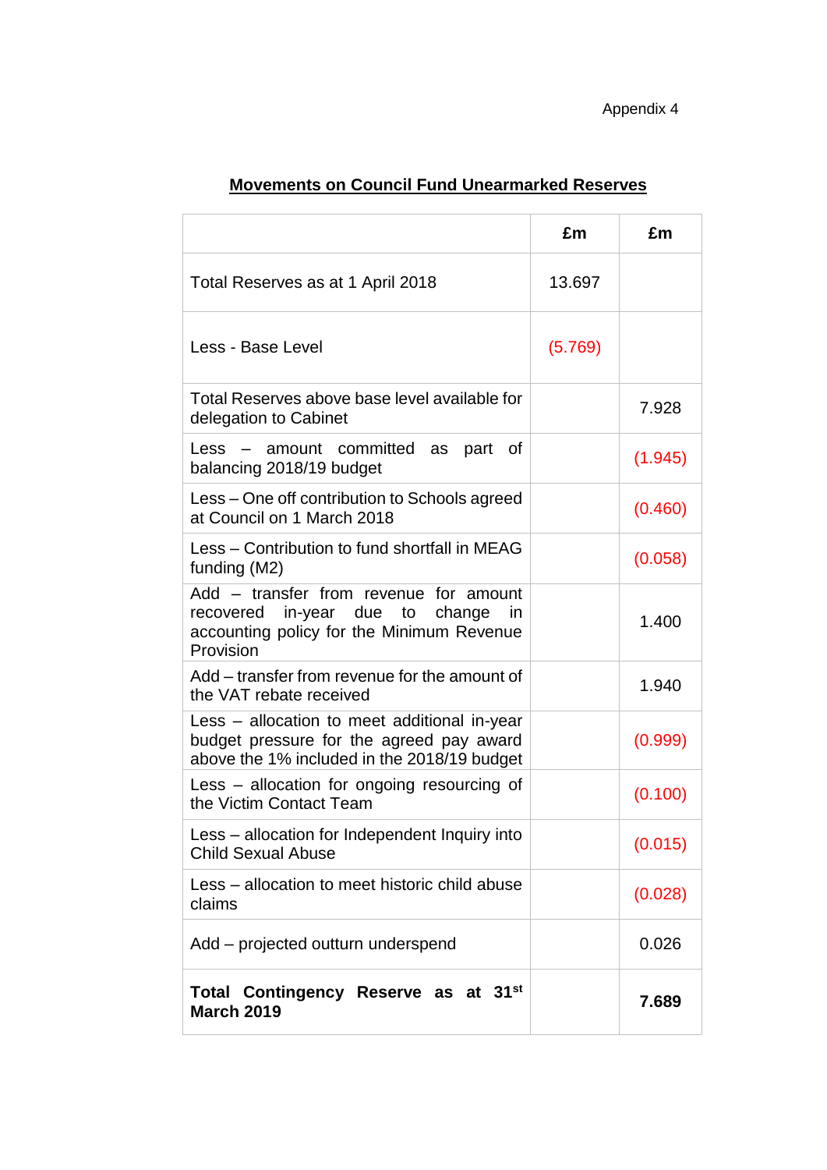|                                                                                                                                         | £m      | £m      |
|-----------------------------------------------------------------------------------------------------------------------------------------|---------|---------|
| Total Reserves as at 1 April 2018                                                                                                       | 13.697  |         |
| Less - Base Level                                                                                                                       | (5.769) |         |
| Total Reserves above base level available for<br>delegation to Cabinet                                                                  |         | 7.928   |
| Less - amount committed as part<br>ot -<br>balancing 2018/19 budget                                                                     |         | (1.945) |
| Less – One off contribution to Schools agreed<br>at Council on 1 March 2018                                                             |         | (0.460) |
| Less - Contribution to fund shortfall in MEAG<br>funding (M2)                                                                           |         | (0.058) |
| Add - transfer from revenue for amount<br>recovered in-year due to change in<br>accounting policy for the Minimum Revenue<br>Provision  |         | 1.400   |
| Add – transfer from revenue for the amount of<br>the VAT rebate received                                                                |         | 1.940   |
| Less - allocation to meet additional in-year<br>budget pressure for the agreed pay award<br>above the 1% included in the 2018/19 budget |         | (0.999) |
| Less – allocation for ongoing resourcing of<br>the Victim Contact Team                                                                  |         | (0.100) |
| Less - allocation for Independent Inquiry into<br><b>Child Sexual Abuse</b>                                                             |         | (0.015) |
| Less – allocation to meet historic child abuse<br>claims                                                                                |         | (0.028) |
| Add – projected outturn underspend                                                                                                      |         | 0.026   |
| Total Contingency Reserve as at 31 <sup>st</sup><br><b>March 2019</b>                                                                   |         | 7.689   |

# **Movements on Council Fund Unearmarked Reserves**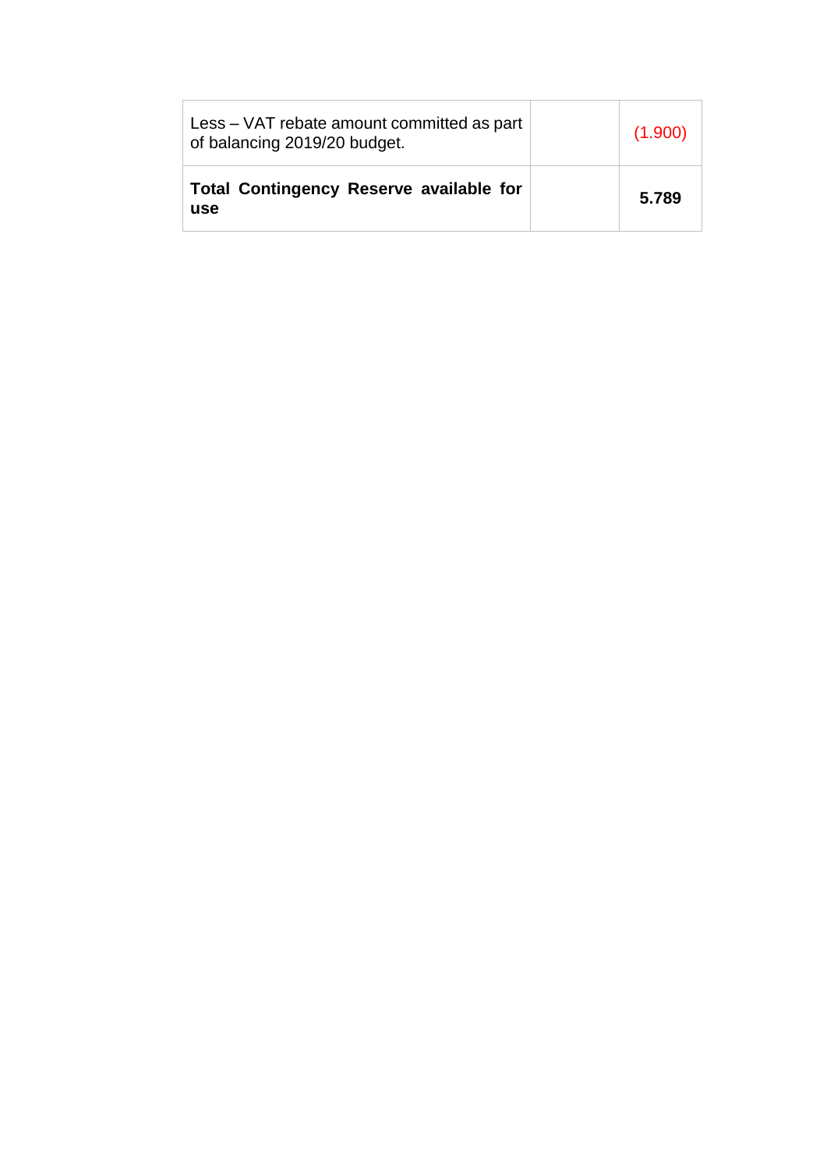| Less – VAT rebate amount committed as part<br>of balancing 2019/20 budget. | (1.900) |
|----------------------------------------------------------------------------|---------|
| Total Contingency Reserve available for<br><b>use</b>                      | 5.789   |